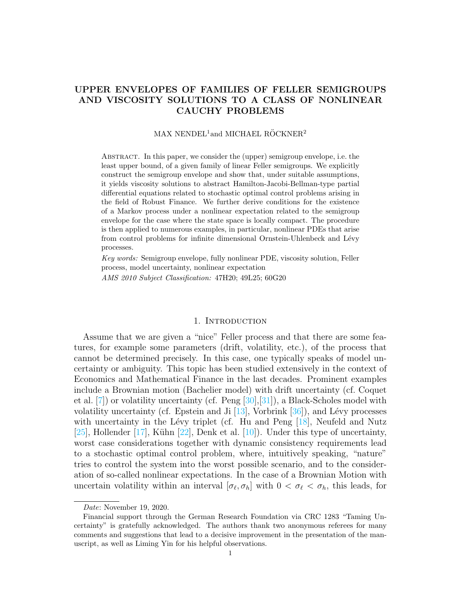# UPPER ENVELOPES OF FAMILIES OF FELLER SEMIGROUPS AND VISCOSITY SOLUTIONS TO A CLASS OF NONLINEAR CAUCHY PROBLEMS

# MAX NENDEL<sup>1</sup>and MICHAEL RÖCKNER<sup>2</sup>

Abstract. In this paper, we consider the (upper) semigroup envelope, i.e. the least upper bound, of a given family of linear Feller semigroups. We explicitly construct the semigroup envelope and show that, under suitable assumptions, it yields viscosity solutions to abstract Hamilton-Jacobi-Bellman-type partial differential equations related to stochastic optimal control problems arising in the field of Robust Finance. We further derive conditions for the existence of a Markov process under a nonlinear expectation related to the semigroup envelope for the case where the state space is locally compact. The procedure is then applied to numerous examples, in particular, nonlinear PDEs that arise from control problems for infinite dimensional Ornstein-Uhlenbeck and Lévy processes.

Key words: Semigroup envelope, fully nonlinear PDE, viscosity solution, Feller process, model uncertainty, nonlinear expectation AMS 2010 Subject Classification: 47H20; 49L25; 60G20

#### 1. INTRODUCTION

Assume that we are given a "nice" Feller process and that there are some features, for example some parameters (drift, volatility, etc.), of the process that cannot be determined precisely. In this case, one typically speaks of model uncertainty or ambiguity. This topic has been studied extensively in the context of Economics and Mathematical Finance in the last decades. Prominent examples include a Brownian motion (Bachelier model) with drift uncertainty (cf. Coquet et al. [\[7\]](#page-31-0)) or volatility uncertainty (cf. Peng [\[30\]](#page-32-0),[\[31\]](#page-32-1)), a Black-Scholes model with volatility uncertainty (cf. Epstein and Ji  $[13]$ , Vorbrink  $[36]$ ), and Lévy processes with uncertainty in the Lévy triplet (cf. Hu and Peng  $[18]$ , Neufeld and Nutz [\[25\]](#page-32-4), Hollender [\[17\]](#page-32-5), Kühn [\[22\]](#page-32-6), Denk et al. [\[10\]](#page-31-1)). Under this type of uncertainty, worst case considerations together with dynamic consistency requirements lead to a stochastic optimal control problem, where, intuitively speaking, "nature" tries to control the system into the worst possible scenario, and to the consideration of so-called nonlinear expectations. In the case of a Brownian Motion with uncertain volatility within an interval  $[\sigma_\ell, \sigma_h]$  with  $0 < \sigma_\ell < \sigma_h$ , this leads, for

Date: November 19, 2020.

Financial support through the German Research Foundation via CRC 1283 "Taming Uncertainty" is gratefully acknowledged. The authors thank two anonymous referees for many comments and suggestions that lead to a decisive improvement in the presentation of the manuscript, as well as Liming Yin for his helpful observations.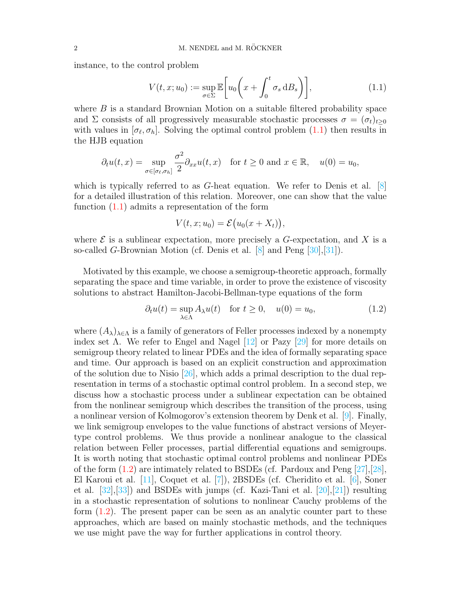instance, to the control problem

<span id="page-1-0"></span>
$$
V(t, x; u_0) := \sup_{\sigma \in \Sigma} \mathbb{E}\bigg[u_0\bigg(x + \int_0^t \sigma_s \, \mathrm{d}B_s\bigg)\bigg],\tag{1.1}
$$

where  $B$  is a standard Brownian Motion on a suitable filtered probability space and  $\Sigma$  consists of all progressively measurable stochastic processes  $\sigma = (\sigma_t)_{t\geq 0}$ with values in  $[\sigma_\ell, \sigma_h]$ . Solving the optimal control problem  $(1.1)$  then results in the HJB equation

$$
\partial_t u(t,x) = \sup_{\sigma \in [\sigma_\ell, \sigma_h]} \frac{\sigma^2}{2} \partial_{xx} u(t,x) \quad \text{for } t \ge 0 \text{ and } x \in \mathbb{R}, \quad u(0) = u_0,
$$

which is typically referred to as G-heat equation. We refer to Denis et al. [\[8\]](#page-31-2) for a detailed illustration of this relation. Moreover, one can show that the value function [\(1.1\)](#page-1-0) admits a representation of the form

$$
V(t, x; u_0) = \mathcal{E}\big(u_0(x + X_t)\big),\,
$$

where  $\mathcal E$  is a sublinear expectation, more precisely a G-expectation, and X is a so-called G-Brownian Motion (cf. Denis et al. [\[8\]](#page-31-2) and Peng [\[30\]](#page-32-0),[\[31\]](#page-32-1)).

Motivated by this example, we choose a semigroup-theoretic approach, formally separating the space and time variable, in order to prove the existence of viscosity solutions to abstract Hamilton-Jacobi-Bellman-type equations of the form

<span id="page-1-1"></span>
$$
\partial_t u(t) = \sup_{\lambda \in \Lambda} A_{\lambda} u(t) \quad \text{for } t \ge 0, \quad u(0) = u_0,\tag{1.2}
$$

where  $(A_{\lambda})_{\lambda \in \Lambda}$  is a family of generators of Feller processes indexed by a nonempty index set  $\Lambda$ . We refer to Engel and Nagel  $[12]$  or Pazy  $[29]$  for more details on semigroup theory related to linear PDEs and the idea of formally separating space and time. Our approach is based on an explicit construction and approximation of the solution due to Nisio  $[26]$ , which adds a primal description to the dual representation in terms of a stochastic optimal control problem. In a second step, we discuss how a stochastic process under a sublinear expectation can be obtained from the nonlinear semigroup which describes the transition of the process, using a nonlinear version of Kolmogorov's extension theorem by Denk et al. [\[9\]](#page-31-3). Finally, we link semigroup envelopes to the value functions of abstract versions of Meyertype control problems. We thus provide a nonlinear analogue to the classical relation between Feller processes, partial differential equations and semigroups. It is worth noting that stochastic optimal control problems and nonlinear PDEs of the form  $(1.2)$  are intimately related to BSDEs (cf. Pardoux and Peng [\[27\]](#page-32-10),[\[28\]](#page-32-11), El Karoui et al. [\[11\]](#page-31-4), Coquet et al. [\[7\]](#page-31-0)), 2BSDEs (cf. Cheridito et al. [\[6\]](#page-31-5), Soner et al. [\[32\]](#page-32-12),[\[33\]](#page-33-1)) and BSDEs with jumps (cf. Kazi-Tani et al. [\[20\]](#page-32-13),[\[21\]](#page-32-14)) resulting in a stochastic representation of solutions to nonlinear Cauchy problems of the form  $(1.2)$ . The present paper can be seen as an analytic counter part to these approaches, which are based on mainly stochastic methods, and the techniques we use might pave the way for further applications in control theory.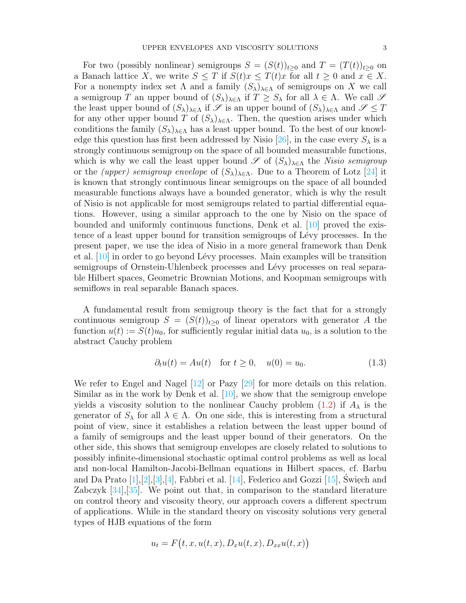For two (possibly nonlinear) semigroups  $S = (S(t))_{t\geq 0}$  and  $T = (T(t))_{t\geq 0}$  on a Banach lattice X, we write  $S \leq T$  if  $S(t)x \leq T(t)x$  for all  $t \geq 0$  and  $x \in X$ . For a nonempty index set  $\Lambda$  and a family  $(S_{\lambda})_{\lambda \in \Lambda}$  of semigroups on X we call a semigroup T an upper bound of  $(S_{\lambda})_{\lambda \in \Lambda}$  if  $T \geq S_{\lambda}$  for all  $\lambda \in \Lambda$ . We call  $\mathscr S$ the least upper bound of  $(S_{\lambda})_{\lambda \in \Lambda}$  if  $\mathscr{S}$  is an upper bound of  $(S_{\lambda})_{\lambda \in \Lambda}$  and  $\mathscr{S} \leq T$ for any other upper bound T of  $(S_{\lambda})_{\lambda \in \Lambda}$ . Then, the question arises under which conditions the family  $(S_{\lambda})_{\lambda \in \Lambda}$  has a least upper bound. To the best of our knowl-edge this question has first been addressed by Nisio [\[26\]](#page-32-9), in the case every  $S_{\lambda}$  is a strongly continuous semigroup on the space of all bounded measurable functions, which is why we call the least upper bound  $\mathscr S$  of  $(S_{\lambda})_{\lambda \in \Lambda}$  the Nisio semigroup or the *(upper) semigroup envelope* of  $(S_{\lambda})_{\lambda \in \Lambda}$ . Due to a Theorem of Lotz [\[24\]](#page-32-15) it is known that strongly continuous linear semigroups on the space of all bounded measurable functions always have a bounded generator, which is why the result of Nisio is not applicable for most semigroups related to partial differential equations. However, using a similar approach to the one by Nisio on the space of bounded and uniformly continuous functions, Denk et al. [\[10\]](#page-31-1) proved the existence of a least upper bound for transition semigroups of L´evy processes. In the present paper, we use the idea of Nisio in a more general framework than Denk et al. [\[10\]](#page-31-1) in order to go beyond L´evy processes. Main examples will be transition semigroups of Ornstein-Uhlenbeck processes and Lévy processes on real separable Hilbert spaces, Geometric Brownian Motions, and Koopman semigroups with semiflows in real separable Banach spaces.

A fundamental result from semigroup theory is the fact that for a strongly continuous semigroup  $S = (S(t))_{t>0}$  of linear operators with generator A the function  $u(t) := S(t)u_0$ , for sufficiently regular initial data  $u_0$ , is a solution to the abstract Cauchy problem

$$
\partial_t u(t) = Au(t) \quad \text{for } t \ge 0, \quad u(0) = u_0.
$$
 (1.3)

We refer to Engel and Nagel  $[12]$  or Pazy  $[29]$  for more details on this relation. Similar as in the work by Denk et al. [\[10\]](#page-31-1), we show that the semigroup envelope yields a viscosity solution to the nonlinear Cauchy problem  $(1.2)$  if  $A_{\lambda}$  is the generator of  $S_\lambda$  for all  $\lambda \in \Lambda$ . On one side, this is interesting from a structural point of view, since it establishes a relation between the least upper bound of a family of semigroups and the least upper bound of their generators. On the other side, this shows that semigroup envelopes are closely related to solutions to possibly infinite-dimensional stochastic optimal control problems as well as local and non-local Hamilton-Jacobi-Bellman equations in Hilbert spaces, cf. Barbu and Da Prato  $[1],[2],[3],[4]$  $[1],[2],[3],[4]$  $[1],[2],[3],[4]$  $[1],[2],[3],[4]$  $[1],[2],[3],[4]$  $[1],[2],[3],[4]$  $[1],[2],[3],[4]$ , Fabbri et al.  $[14]$ , Federico and Gozzi  $[15]$ , Święch and Zabczyk [\[34\]](#page-33-2),[\[35\]](#page-33-3). We point out that, in comparison to the standard literature on control theory and viscosity theory, our approach covers a different spectrum of applications. While in the standard theory on viscosity solutions very general types of HJB equations of the form

$$
u_t = F(t, x, u(t, x), D_x u(t, x), D_{xx} u(t, x))
$$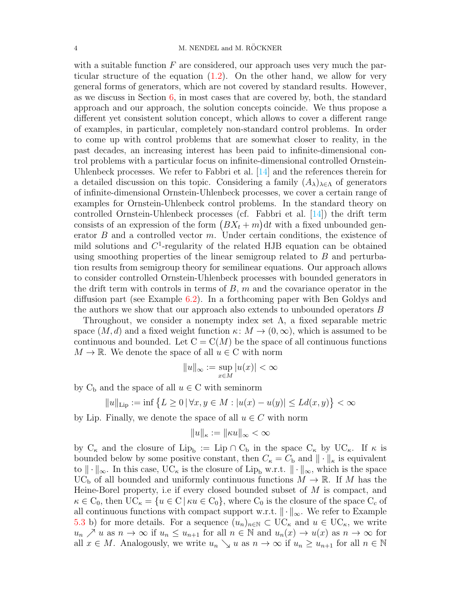with a suitable function  $F$  are considered, our approach uses very much the particular structure of the equation [\(1.2\)](#page-1-1). On the other hand, we allow for very general forms of generators, which are not covered by standard results. However, as we discuss in Section [6,](#page-21-0) in most cases that are covered by, both, the standard approach and our approach, the solution concepts coincide. We thus propose a different yet consistent solution concept, which allows to cover a different range of examples, in particular, completely non-standard control problems. In order to come up with control problems that are somewhat closer to reality, in the past decades, an increasing interest has been paid to infinite-dimensional control problems with a particular focus on infinite-dimensional controlled Ornstein-Uhlenbeck processes. We refer to Fabbri et al. [\[14\]](#page-32-16) and the references therein for a detailed discussion on this topic. Considering a family  $(A_{\lambda})_{\lambda \in \Lambda}$  of generators of infinite-dimensional Ornstein-Uhlenbeck processes, we cover a certain range of examples for Ornstein-Uhlenbeck control problems. In the standard theory on controlled Ornstein-Uhlenbeck processes (cf. Fabbri et al. [\[14\]](#page-32-16)) the drift term consists of an expression of the form  $(BX_t + m)dt$  with a fixed unbounded generator  $B$  and a controlled vector  $m$ . Under certain conditions, the existence of mild solutions and  $C<sup>1</sup>$ -regularity of the related HJB equation can be obtained using smoothing properties of the linear semigroup related to B and perturbation results from semigroup theory for semilinear equations. Our approach allows to consider controlled Ornstein-Uhlenbeck processes with bounded generators in the drift term with controls in terms of  $B$ ,  $m$  and the covariance operator in the diffusion part (see Example [6.2\)](#page-25-0). In a forthcoming paper with Ben Goldys and the authors we show that our approach also extends to unbounded operators B

Throughout, we consider a nonempty index set  $\Lambda$ , a fixed separable metric space  $(M, d)$  and a fixed weight function  $\kappa: M \to (0, \infty)$ , which is assumed to be continuous and bounded. Let  $C = C(M)$  be the space of all continuous functions  $M \to \mathbb{R}$ . We denote the space of all  $u \in \mathbb{C}$  with norm

$$
||u||_{\infty} := \sup_{x \in M} |u(x)| < \infty
$$

by  $C_b$  and the space of all  $u \in C$  with seminorm

$$
||u||_{\text{Lip}} := \inf \left\{ L \ge 0 \, | \, \forall x, y \in M : |u(x) - u(y)| \le Ld(x, y) \right\} < \infty
$$

by Lip. Finally, we denote the space of all  $u \in C$  with norm

$$
||u||_{\kappa} := ||\kappa u||_{\infty} < \infty
$$

by  $C_{\kappa}$  and the closure of  $Lip_b := Lip \cap C_b$  in the space  $C_{\kappa}$  by  $UC_{\kappa}$ . If  $\kappa$  is bounded below by some positive constant, then  $C_{\kappa} = C_{\rm b}$  and  $\|\cdot\|_{\kappa}$  is equivalent to  $\|\cdot\|_{\infty}$ . In this case, UC<sub>k</sub> is the closure of Lip<sub>b</sub> w.r.t.  $\|\cdot\|_{\infty}$ , which is the space UC<sub>b</sub> of all bounded and uniformly continuous functions  $M \to \mathbb{R}$ . If M has the Heine-Borel property, i.e if every closed bounded subset of M is compact, and  $\kappa \in C_0$ , then  $UC_{\kappa} = \{u \in C \mid \kappa u \in C_0\}$ , where  $C_0$  is the closure of the space  $C_c$  of all continuous functions with compact support w.r.t.  $\|\cdot\|_{\infty}$ . We refer to Example [5.3](#page-18-0) b) for more details. For a sequence  $(u_n)_{n\in\mathbb{N}}\subset \mathrm{UC}_\kappa$  and  $u\in \mathrm{UC}_\kappa$ , we write  $u_n \nearrow u$  as  $n \to \infty$  if  $u_n \leq u_{n+1}$  for all  $n \in \mathbb{N}$  and  $u_n(x) \to u(x)$  as  $n \to \infty$  for all  $x \in M$ . Analogously, we write  $u_n \searrow u$  as  $n \to \infty$  if  $u_n \geq u_{n+1}$  for all  $n \in \mathbb{N}$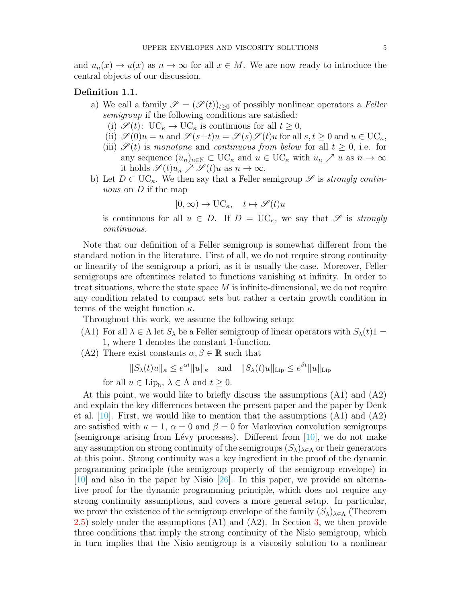and  $u_n(x) \to u(x)$  as  $n \to \infty$  for all  $x \in M$ . We are now ready to introduce the central objects of our discussion.

### Definition 1.1.

- a) We call a family  $\mathscr{S} = (\mathscr{S}(t))_{t\geq0}$  of possibly nonlinear operators a Feller semigroup if the following conditions are satisfied:
	- (i)  $\mathscr{S}(t): \mathrm{UC}_{\kappa} \to \mathrm{UC}_{\kappa}$  is continuous for all  $t \geq 0$ ,
	- (ii)  $\mathscr{S}(0)u = u$  and  $\mathscr{S}(s+t)u = \mathscr{S}(s)\mathscr{S}(t)u$  for all  $s, t \geq 0$  and  $u \in \mathrm{UC}_{\kappa}$ ,
	- (iii)  $\mathscr{S}(t)$  is monotone and continuous from below for all  $t > 0$ , i.e. for any sequence  $(u_n)_{n\in\mathbb{N}}\subset \mathrm{UC}_\kappa$  and  $u\in \mathrm{UC}_\kappa$  with  $u_n\nearrow u$  as  $n\to\infty$ it holds  $\mathscr{S}(t)u_n \nearrow \mathscr{S}(t)u$  as  $n \to \infty$ .
- b) Let  $D \subset \mathrm{UC}_{\kappa}$ . We then say that a Feller semigroup  $\mathscr S$  is *strongly contin*uous on D if the map

$$
[0,\infty) \to \mathbf{UC}_{\kappa}, \quad t \mapsto \mathscr{S}(t)u
$$

is continuous for all  $u \in D$ . If  $D = \mathrm{UC}_{\kappa}$ , we say that  $\mathscr S$  is strongly continuous.

Note that our definition of a Feller semigroup is somewhat different from the standard notion in the literature. First of all, we do not require strong continuity or linearity of the semigroup a priori, as it is usually the case. Moreover, Feller semigroups are oftentimes related to functions vanishing at infinity. In order to treat situations, where the state space  $M$  is infinite-dimensional, we do not require any condition related to compact sets but rather a certain growth condition in terms of the weight function  $\kappa$ .

Throughout this work, we assume the following setup:

- (A1) For all  $\lambda \in \Lambda$  let  $S_\lambda$  be a Feller semigroup of linear operators with  $S_\lambda(t)1 =$ 1, where 1 denotes the constant 1-function.
- (A2) There exist constants  $\alpha, \beta \in \mathbb{R}$  such that

$$
||S_{\lambda}(t)u||_{\kappa} \leq e^{\alpha t}||u||_{\kappa}
$$
 and  $||S_{\lambda}(t)u||_{\text{Lip}} \leq e^{\beta t}||u||_{\text{Lip}}$ 

for all  $u \in \text{Lip}_b$ ,  $\lambda \in \Lambda$  and  $t \geq 0$ .

At this point, we would like to briefly discuss the assumptions (A1) and (A2) and explain the key differences between the present paper and the paper by Denk et al.  $[10]$ . First, we would like to mention that the assumptions  $(A1)$  and  $(A2)$ are satisfied with  $\kappa = 1$ ,  $\alpha = 0$  and  $\beta = 0$  for Markovian convolution semigroups (semigroups arising from Lévy processes). Different from  $[10]$ , we do not make any assumption on strong continuity of the semigroups  $(S_{\lambda})_{\lambda \in \Lambda}$  or their generators at this point. Strong continuity was a key ingredient in the proof of the dynamic programming principle (the semigroup property of the semigroup envelope) in [\[10\]](#page-31-1) and also in the paper by Nisio [\[26\]](#page-32-9). In this paper, we provide an alternative proof for the dynamic programming principle, which does not require any strong continuity assumptions, and covers a more general setup. In particular, we prove the existence of the semigroup envelope of the family  $(S_{\lambda})_{\lambda \in \Lambda}$  (Theorem [2.5\)](#page-8-0) solely under the assumptions (A1) and (A2). In Section [3,](#page-10-0) we then provide three conditions that imply the strong continuity of the Nisio semigroup, which in turn implies that the Nisio semigroup is a viscosity solution to a nonlinear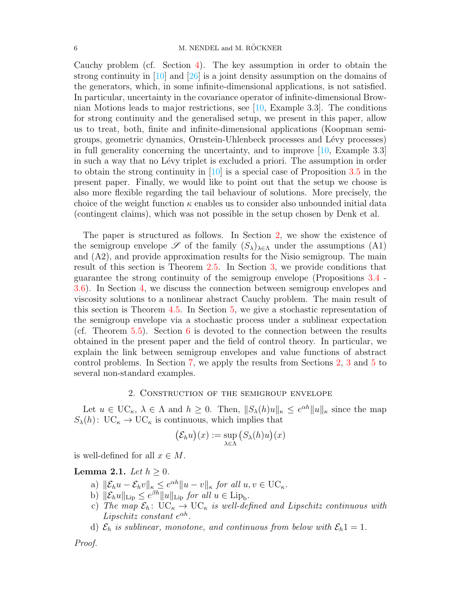Cauchy problem (cf. Section [4\)](#page-14-0). The key assumption in order to obtain the strong continuity in  $[10]$  and  $[26]$  is a joint density assumption on the domains of the generators, which, in some infinite-dimensional applications, is not satisfied. In particular, uncertainty in the covariance operator of infinite-dimensional Brownian Motions leads to major restrictions, see [\[10,](#page-31-1) Example 3.3]. The conditions for strong continuity and the generalised setup, we present in this paper, allow us to treat, both, finite and infinite-dimensional applications (Koopman semigroups, geometric dynamics, Ornstein-Uhlenbeck processes and L´evy processes) in full generality concerning the uncertainty, and to improve [\[10,](#page-31-1) Example 3.3] in such a way that no Lévy triplet is excluded a priori. The assumption in order to obtain the strong continuity in  $[10]$  is a special case of Proposition [3.5](#page-12-0) in the present paper. Finally, we would like to point out that the setup we choose is also more flexible regarding the tail behaviour of solutions. More precisely, the choice of the weight function  $\kappa$  enables us to consider also unbounded initial data (contingent claims), which was not possible in the setup chosen by Denk et al.

The paper is structured as follows. In Section [2,](#page-5-0) we show the existence of the semigroup envelope  $\mathscr S$  of the family  $(S_{\lambda})_{\lambda \in \Lambda}$  under the assumptions (A1) and (A2), and provide approximation results for the Nisio semigroup. The main result of this section is Theorem [2.5.](#page-8-0) In Section [3,](#page-10-0) we provide conditions that guarantee the strong continuity of the semigroup envelope (Propositions [3.4](#page-11-0) - [3.6\)](#page-13-0). In Section [4,](#page-14-0) we discuss the connection between semigroup envelopes and viscosity solutions to a nonlinear abstract Cauchy problem. The main result of this section is Theorem [4.5.](#page-17-0) In Section [5,](#page-18-1) we give a stochastic representation of the semigroup envelope via a stochastic process under a sublinear expectation (cf. Theorem  $5.5$ ). Section [6](#page-21-0) is devoted to the connection between the results obtained in the present paper and the field of control theory. In particular, we explain the link between semigroup envelopes and value functions of abstract control problems. In Section [7,](#page-27-0) we apply the results from Sections [2,](#page-5-0) [3](#page-10-0) and [5](#page-18-1) to several non-standard examples.

# 2. Construction of the semigroup envelope

<span id="page-5-0"></span>Let  $u \in \mathrm{UC}_{\kappa}$ ,  $\lambda \in \Lambda$  and  $h \geq 0$ . Then,  $||S_{\lambda}(h)u||_{\kappa} \leq e^{\alpha h}||u||_{\kappa}$  since the map  $S_{\lambda}(h)$ : UC<sub>k</sub>  $\rightarrow$  UC<sub>k</sub> is continuous, which implies that

$$
(\mathcal{E}_h u)(x) := \sup_{\lambda \in \Lambda} \big( S_{\lambda}(h) u \big)(x)
$$

is well-defined for all  $x \in M$ .

# <span id="page-5-1"></span>Lemma 2.1. Let  $h \geq 0$ .

- a)  $\|\mathcal{E}_h u \mathcal{E}_h v\|_{\kappa} \leq e^{\alpha h} \|u v\|_{\kappa}$  for all  $u, v \in \mathrm{UC}_{\kappa}$ .
- b)  $\|\mathcal{E}_h u\|_{\text{Lip}} \leq e^{\beta h} \|u\|_{\text{Lip}}$  for all  $u \in \text{Lip}_b$ .
- c) The map  $\mathcal{E}_h$ : UC<sub>K</sub>  $\rightarrow$  UC<sub>K</sub> is well-defined and Lipschitz continuous with Lipschitz constant  $e^{\alpha h}$ .
- d)  $\mathcal{E}_h$  is sublinear, monotone, and continuous from below with  $\mathcal{E}_h$ 1 = 1.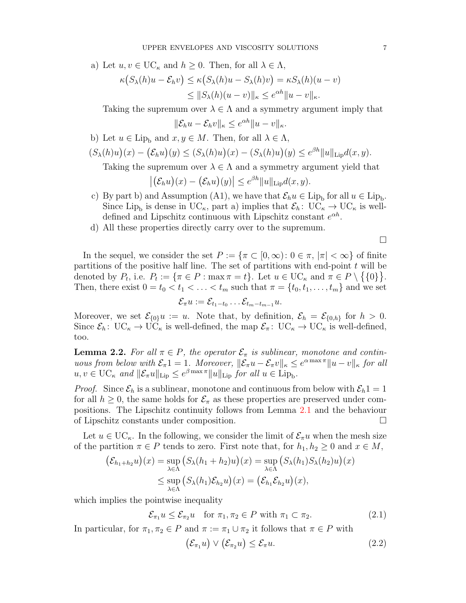a) Let  $u, v \in \mathrm{UC}_{\kappa}$  and  $h \geq 0$ . Then, for all  $\lambda \in \Lambda$ ,

$$
\kappa(S_{\lambda}(h)u - \mathcal{E}_h v) \le \kappa(S_{\lambda}(h)u - S_{\lambda}(h)v) = \kappa S_{\lambda}(h)(u - v)
$$
  

$$
\le ||S_{\lambda}(h)(u - v)||_{\kappa} \le e^{\alpha h} ||u - v||_{\kappa}.
$$

Taking the supremum over  $\lambda \in \Lambda$  and a symmetry argument imply that

$$
\|\mathcal{E}_h u - \mathcal{E}_h v\|_{\kappa} \le e^{\alpha h} \|u - v\|_{\kappa}.
$$

- b) Let  $u \in \text{Lip}_{\text{b}}$  and  $x, y \in M$ . Then, for all  $\lambda \in \Lambda$ ,
- $(S_{\lambda}(h)u)(x) (\mathcal{E}_h u)(y) \leq (S_{\lambda}(h)u)(x) (S_{\lambda}(h)u)(y) \leq e^{\beta h} ||u||_{\text{Lip}} d(x, y).$

Taking the supremum over  $\lambda \in \Lambda$  and a symmetry argument yield that

$$
|(\mathcal{E}_h u)(x) - (\mathcal{E}_h u)(y)| \leq e^{\beta h} ||u||_{\text{Lip}} d(x, y).
$$

- c) By part b) and Assumption (A1), we have that  $\mathcal{E}_h u \in \text{Lip}_b$  for all  $u \in \text{Lip}_b$ . Since Lip<sub>b</sub> is dense in UC<sub>k</sub>, part a) implies that  $\mathcal{E}_h$ : UC<sub>k</sub>  $\rightarrow$  UC<sub>k</sub> is welldefined and Lipschitz continuous with Lipschitz constant  $e^{\alpha h}$ .
- d) All these properties directly carry over to the supremum.

 $\Box$ 

In the sequel, we consider the set  $P := \{\pi \subset [0,\infty): 0 \in \pi, |\pi| < \infty\}$  of finite partitions of the positive half line. The set of partitions with end-point  $t$  will be denoted by  $P_t$ , i.e.  $P_t := \{\pi \in P : \max \pi = t\}$ . Let  $u \in \mathrm{UC}_{\kappa}$  and  $\pi \in P \setminus \{\{0\}\}.$ Then, there exist  $0 = t_0 < t_1 < \ldots < t_m$  such that  $\pi = \{t_0, t_1, \ldots, t_m\}$  and we set

$$
\mathcal{E}_{\pi}u:=\mathcal{E}_{t_1-t_0}\ldots\mathcal{E}_{t_m-t_{m-1}}u.
$$

Moreover, we set  $\mathcal{E}_{\{0\}}u := u$ . Note that, by definition,  $\mathcal{E}_h = \mathcal{E}_{\{0,h\}}$  for  $h > 0$ . Since  $\mathcal{E}_h$ :  $\mathrm{UC}_{\kappa} \to \mathrm{UC}_{\kappa}$  is well-defined, the map  $\mathcal{E}_{\pi}$ :  $\mathrm{UC}_{\kappa} \to \mathrm{UC}_{\kappa}$  is well-defined, too.

<span id="page-6-0"></span>**Lemma 2.2.** For all  $\pi \in P$ , the operator  $\mathcal{E}_{\pi}$  is sublinear, monotone and continuous from below with  $\mathcal{E}_{\pi}1 = 1$ . Moreover,  $\|\mathcal{E}_{\pi}u - \mathcal{E}_{\pi}v\|_{\kappa} \leq e^{\alpha \max \pi} \|u - v\|_{\kappa}$  for all  $u, v \in \mathrm{UC}_{\kappa}$  and  $\|\mathcal{E}_{\pi}u\|_{\mathrm{Lip}} \leq e^{\beta \max \pi} \|u\|_{\mathrm{Lip}}$  for all  $u \in \mathrm{Lip}_{\mathrm{b}}$ .

*Proof.* Since  $\mathcal{E}_h$  is a sublinear, monotone and continuous from below with  $\mathcal{E}_h$ 1 = 1 for all  $h \geq 0$ , the same holds for  $\mathcal{E}_{\pi}$  as these properties are preserved under compositions. The Lipschitz continuity follows from Lemma [2.1](#page-5-1) and the behaviour of Lipschitz constants under composition.

Let  $u \in \mathrm{UC}_{\kappa}$ . In the following, we consider the limit of  $\mathcal{E}_{\pi}u$  when the mesh size of the partition  $\pi \in P$  tends to zero. First note that, for  $h_1, h_2 \geq 0$  and  $x \in M$ ,

$$
(\mathcal{E}_{h_1+h_2}u)(x) = \sup_{\lambda \in \Lambda} (S_{\lambda}(h_1+h_2)u)(x) = \sup_{\lambda \in \Lambda} (S_{\lambda}(h_1)S_{\lambda}(h_2)u)(x)
$$
  

$$
\leq \sup_{\lambda \in \Lambda} (S_{\lambda}(h_1)\mathcal{E}_{h_2}u)(x) = (\mathcal{E}_{h_1}\mathcal{E}_{h_2}u)(x),
$$

which implies the pointwise inequality

<span id="page-6-1"></span>
$$
\mathcal{E}_{\pi_1} u \le \mathcal{E}_{\pi_2} u \quad \text{for } \pi_1, \pi_2 \in P \text{ with } \pi_1 \subset \pi_2. \tag{2.1}
$$

In particular, for  $\pi_1, \pi_2 \in P$  and  $\pi := \pi_1 \cup \pi_2$  it follows that  $\pi \in P$  with

$$
(\mathcal{E}_{\pi_1}u)\vee(\mathcal{E}_{\pi_2}u)\leq \mathcal{E}_{\pi}u.
$$
\n(2.2)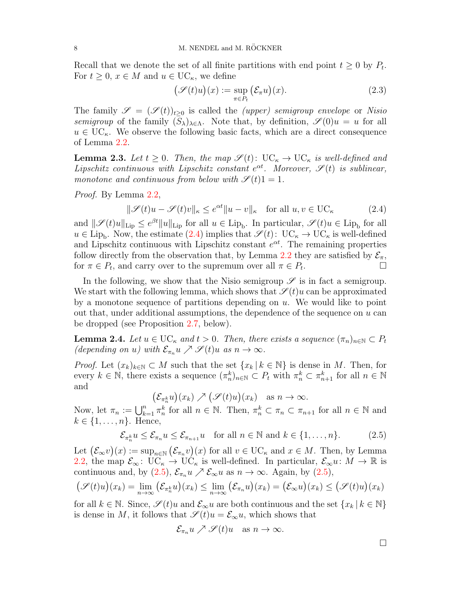Recall that we denote the set of all finite partitions with end point  $t \geq 0$  by  $P_t$ . For  $t \geq 0$ ,  $x \in M$  and  $u \in \mathrm{UC}_{\kappa}$ , we define

<span id="page-7-3"></span>
$$
\big(\mathscr{S}(t)u\big)(x) := \sup_{\pi \in P_t} \big(\mathcal{E}_\pi u\big)(x). \tag{2.3}
$$

The family  $\mathscr{S} = (\mathscr{S}(t))_{t>0}$  is called the *(upper)* semigroup envelope or Nisio semigroup of the family  $(S_{\lambda})_{\lambda \in \Lambda}$ . Note that, by definition,  $\mathscr{S}(0)u = u$  for all  $u \in \mathrm{UC}_{\kappa}$ . We observe the following basic facts, which are a direct consequence of Lemma [2.2.](#page-6-0)

<span id="page-7-4"></span>**Lemma 2.3.** Let  $t \geq 0$ . Then, the map  $\mathscr{S}(t)$ :  $\text{UC}_{\kappa} \to \text{UC}_{\kappa}$  is well-defined and Lipschitz continuous with Lipschitz constant  $e^{\alpha t}$ . Moreover,  $\mathscr{S}(t)$  is sublinear, monotone and continuous from below with  $\mathscr{S}(t) = 1$ .

Proof. By Lemma [2.2,](#page-6-0)

<span id="page-7-0"></span> $\|\mathscr{S}(t)u - \mathscr{S}(t)v\|_{\kappa} \le e^{\alpha t} \|u - v\|_{\kappa} \quad \text{for all } u, v \in \text{UC}_{\kappa}$  (2.4)

and  $\|\mathscr{S}(t)u\|_{\text{Lip}} \leq e^{\beta t} \|u\|_{\text{Lip}}$  for all  $u \in \text{Lip}_b$ . In particular,  $\mathscr{S}(t)u \in \text{Lip}_b$  for all  $u \in \text{Lip}_b$ . Now, the estimate [\(2.4\)](#page-7-0) implies that  $\mathscr{S}(t): \text{UC}_{\kappa} \to \text{UC}_{\kappa}$  is well-defined and Lipschitz continuous with Lipschitz constant  $e^{\alpha t}$ . The remaining properties follow directly from the observation that, by Lemma [2.2](#page-6-0) they are satisfied by  $\mathcal{E}_{\pi}$ , for  $\pi \in P_t$ , and carry over to the supremum over all  $\pi \in P_t$ .

In the following, we show that the Nisio semigroup  $\mathscr S$  is in fact a semigroup. We start with the following lemma, which shows that  $\mathscr{S}(t)u$  can be approximated by a monotone sequence of partitions depending on  $u$ . We would like to point out that, under additional assumptions, the dependence of the sequence on  $u$  can be dropped (see Proposition [2.7,](#page-9-0) below).

<span id="page-7-2"></span>**Lemma 2.4.** Let  $u \in \mathrm{UC}_{\kappa}$  and  $t > 0$ . Then, there exists a sequence  $(\pi_n)_{n \in \mathbb{N}} \subset P_t$ (depending on u) with  $\mathcal{E}_{\pi_n} u \nearrow \mathcal{S}(t) u$  as  $n \to \infty$ .

*Proof.* Let  $(x_k)_{k\in\mathbb{N}}\subset M$  such that the set  $\{x_k\,|\,k\in\mathbb{N}\}$  is dense in M. Then, for every  $k \in \mathbb{N}$ , there exists a sequence  $(\pi_n^k)_{n \in \mathbb{N}} \subset P_t$  with  $\pi_n^k \subset \pi_{n+1}^k$  for all  $n \in \mathbb{N}$ and

 $(\mathcal{E}_{\pi_n^k} u)(x_k) \nearrow (\mathcal{S}(t)u)(x_k) \text{ as } n \to \infty.$ 

Now, let  $\pi_n := \bigcup_{k=1}^n \pi_n^k$  for all  $n \in \mathbb{N}$ . Then,  $\pi_n^k \subset \pi_n \subset \pi_{n+1}$  for all  $n \in \mathbb{N}$  and  $k \in \{1, \ldots, n\}$ . Hence,

<span id="page-7-1"></span>
$$
\mathcal{E}_{\pi_n^k} u \le \mathcal{E}_{\pi_n} u \le \mathcal{E}_{\pi_{n+1}} u \quad \text{for all } n \in \mathbb{N} \text{ and } k \in \{1, \dots, n\}. \tag{2.5}
$$

Let  $(\mathcal{E}_{\infty}v)(x) := \sup_{n \in \mathbb{N}} (\mathcal{E}_{\pi_n}v)(x)$  for all  $v \in \mathrm{UC}_{\kappa}$  and  $x \in M$ . Then, by Lemma [2.2,](#page-6-0) the map  $\mathcal{E}_{\infty}$ : UC<sub>k</sub>  $\rightarrow$  UC<sub>k</sub> is well-defined. In particular,  $\mathcal{E}_{\infty}u: M \rightarrow \mathbb{R}$  is continuous and, by  $(2.5)$ ,  $\mathcal{E}_{\pi_n} u \nearrow \mathcal{E}_{\infty} u$  as  $n \to \infty$ . Again, by  $(2.5)$ ,

$$
\big(\mathscr{S}(t)u\big)(x_k) = \lim_{n \to \infty} \big(\mathcal{E}_{\pi_n^k} u\big)(x_k) \le \lim_{n \to \infty} \big(\mathcal{E}_{\pi_n} u\big)(x_k) = \big(\mathcal{E}_{\infty} u\big)(x_k) \le \big(\mathcal{S}(t)u\big)(x_k)
$$

for all  $k \in \mathbb{N}$ . Since,  $\mathscr{S}(t)u$  and  $\mathcal{E}_{\infty}u$  are both continuous and the set  $\{x_k | k \in \mathbb{N}\}\$ is dense in M, it follows that  $\mathscr{S}(t)u = \mathcal{E}_{\infty} u$ , which shows that

$$
\mathcal{E}_{\pi_n} u \nearrow \mathcal{S}(t)u \text{ as } n \to \infty.
$$

 $\Box$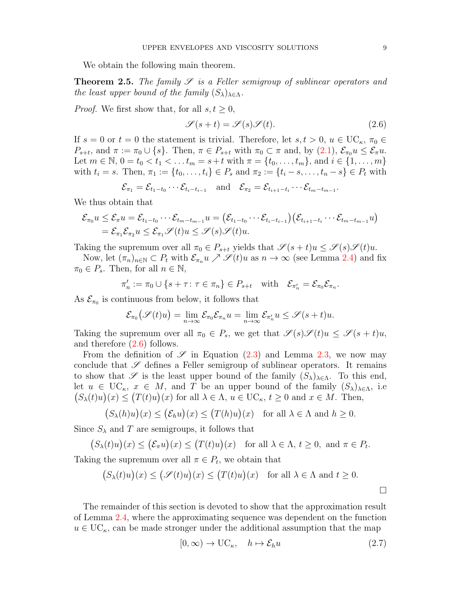We obtain the following main theorem.

<span id="page-8-0"></span>**Theorem 2.5.** The family  $\mathscr S$  is a Feller semigroup of sublinear operators and the least upper bound of the family  $(S_{\lambda})_{\lambda \in \Lambda}$ .

*Proof.* We first show that, for all  $s, t \geq 0$ ,

<span id="page-8-1"></span>
$$
\mathscr{S}(s+t) = \mathscr{S}(s)\mathscr{S}(t). \tag{2.6}
$$

.

If  $s = 0$  or  $t = 0$  the statement is trivial. Therefore, let  $s, t > 0, u \in \text{UC}_{\kappa}, \pi_0 \in$  $P_{s+t}$ , and  $\pi := \pi_0 \cup \{s\}$ . Then,  $\pi \in P_{s+t}$  with  $\pi_0 \subset \pi$  and, by  $(2.1)$ ,  $\mathcal{E}_{\pi_0} u \leq \mathcal{E}_{\pi} u$ . Let  $m \in \mathbb{N}, 0 = t_0 < t_1 < \dots t_m = s+t$  with  $\pi = \{t_0, \dots, t_m\}$ , and  $i \in \{1, \dots, m\}$ with  $t_i = s$ . Then,  $\pi_1 := \{t_0, \ldots, t_i\} \in P_s$  and  $\pi_2 := \{t_i - s, \ldots, t_n - s\} \in P_t$  with

$$
\mathcal{E}_{\pi_1} = \mathcal{E}_{t_1-t_0} \cdots \mathcal{E}_{t_i-t_{i-1}} \quad \text{and} \quad \mathcal{E}_{\pi_2} = \mathcal{E}_{t_{i+1}-t_i} \cdots \mathcal{E}_{t_m-t_{m-1}}
$$

We thus obtain that

$$
\mathcal{E}_{\pi_0} u \leq \mathcal{E}_{\pi} u = \mathcal{E}_{t_1-t_0} \cdots \mathcal{E}_{t_m-t_{m-1}} u = \left(\mathcal{E}_{t_1-t_0} \cdots \mathcal{E}_{t_i-t_{i-1}}\right) \left(\mathcal{E}_{t_{i+1}-t_i} \cdots \mathcal{E}_{t_m-t_{m-1}} u\right) \\ = \mathcal{E}_{\pi_1} \mathcal{E}_{\pi_2} u \leq \mathcal{E}_{\pi_1} \mathscr{S}(t) u \leq \mathscr{S}(s) \mathscr{S}(t) u.
$$

Taking the supremum over all  $\pi_0 \in P_{s+t}$  yields that  $\mathscr{S}(s+t)u \leq \mathscr{S}(s)\mathscr{S}(t)u$ .

Now, let  $(\pi_n)_{n\in\mathbb{N}}\subset P_t$  with  $\mathcal{E}_{\pi_n}u\nearrow\mathcal{S}(t)u$  as  $n\to\infty$  (see Lemma [2.4\)](#page-7-2) and fix  $\pi_0 \in P_s$ . Then, for all  $n \in \mathbb{N}$ ,

$$
\pi'_n := \pi_0 \cup \{ s + \tau \colon \tau \in \pi_n \} \in P_{s+t} \quad \text{with} \quad \mathcal{E}_{\pi'_n} = \mathcal{E}_{\pi_0} \mathcal{E}_{\pi_n}.
$$

As  $\mathcal{E}_{\pi_0}$  is continuous from below, it follows that

$$
\mathcal{E}_{\pi_0}(\mathscr{S}(t)u) = \lim_{n \to \infty} \mathcal{E}_{\pi_0} \mathcal{E}_{\pi_n} u = \lim_{n \to \infty} \mathcal{E}_{\pi'_n} u \le \mathcal{S}(s+t)u.
$$

Taking the supremum over all  $\pi_0 \in P_s$ , we get that  $\mathscr{S}(s)\mathscr{S}(t)u \leq \mathscr{S}(s+t)u$ , and therefore [\(2.6\)](#page-8-1) follows.

From the definition of  $\mathscr S$  in Equation [\(2.3\)](#page-7-3) and Lemma [2.3,](#page-7-4) we now may conclude that  $\mathscr S$  defines a Feller semigroup of sublinear operators. It remains to show that  $\mathscr S$  is the least upper bound of the family  $(S_{\lambda})_{\lambda \in \Lambda}$ . To this end, let  $u \in \mathrm{UC}_{\kappa}, x \in M$ , and T be an upper bound of the family  $(S_{\lambda})_{\lambda \in \Lambda}$ , i.e  $(S_{\lambda}(t)u)(x) \leq (T(t)u)(x)$  for all  $\lambda \in \Lambda$ ,  $u \in UC_{\kappa}$ ,  $t \geq 0$  and  $x \in M$ . Then,

$$
(S_{\lambda}(h)u)(x) \le (\mathcal{E}_h u)(x) \le (T(h)u)(x) \text{ for all } \lambda \in \Lambda \text{ and } h \ge 0.
$$

Since  $S_{\lambda}$  and T are semigroups, it follows that

$$
(S_{\lambda}(t)u)(x) \le (\mathcal{E}_{\pi}u)(x) \le (T(t)u)(x) \text{ for all } \lambda \in \Lambda, t \ge 0, \text{ and } \pi \in P_t.
$$

Taking the supremum over all  $\pi \in P_t$ , we obtain that

$$
(S_{\lambda}(t)u)(x) \leq (\mathcal{S}(t)u)(x) \leq (T(t)u)(x) \text{ for all } \lambda \in \Lambda \text{ and } t \geq 0.
$$

The remainder of this section is devoted to show that the approximation result of Lemma [2.4,](#page-7-2) where the approximating sequence was dependent on the function  $u \in \mathrm{UC}_{\kappa}$ , can be made stronger under the additional assumption that the map

<span id="page-8-2"></span>
$$
[0, \infty) \to \mathbf{UC}_{\kappa}, \quad h \mapsto \mathcal{E}_h u \tag{2.7}
$$

 $\Box$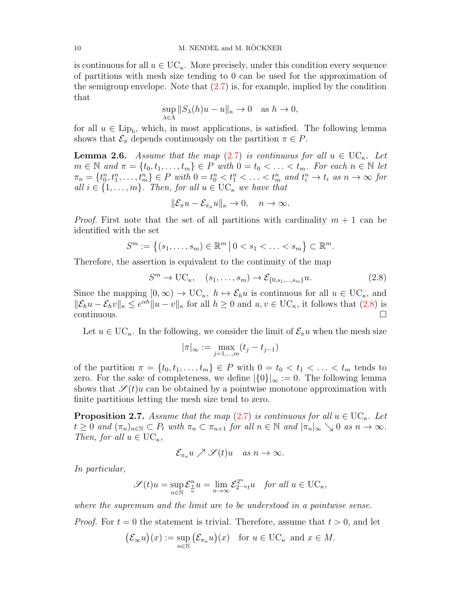is continuous for all  $u \in \mathrm{UC}_{\kappa}$ . More precisely, under this condition every sequence of partitions with mesh size tending to 0 can be used for the approximation of the semigroup envelope. Note that  $(2.7)$  is, for example, implied by the condition that

$$
\sup_{\lambda \in \Lambda} ||S_{\lambda}(h)u - u||_{\kappa} \to 0 \quad \text{as } h \to 0,
$$

for all  $u \in \text{Lip}_b$ , which, in most applications, is satisfied. The following lemma shows that  $\mathcal{E}_{\pi}$  depends continuously on the partition  $\pi \in P$ .

<span id="page-9-2"></span>**Lemma 2.6.** Assume that the map [\(2.7\)](#page-8-2) is continuous for all  $u \in \mathrm{UC}_{\kappa}$ . Let  $m \in \mathbb{N}$  and  $\pi = \{t_0, t_1, \ldots, t_m\} \in P$  with  $0 = t_0 < \ldots < t_m$ . For each  $n \in \mathbb{N}$  let  $\pi_n = \{t_0^n, t_1^n, \dots, t_m^n\} \in P$  with  $0 = t_0^n < t_1^n < \dots < t_m^n$  and  $t_i^n \to t_i$  as  $n \to \infty$  for all  $i \in \{1, \ldots, m\}$ . Then, for all  $u \in \mathrm{UC}_{\kappa}$  we have that

$$
\|\mathcal{E}_{\pi}u - \mathcal{E}_{\pi_n}u\|_{\kappa} \to 0, \quad n \to \infty.
$$

*Proof.* First note that the set of all partitions with cardinality  $m + 1$  can be identified with the set

$$
S^m := \{(s_1, \ldots, s_m) \in \mathbb{R}^m \, \big| \, 0 < s_1 < \ldots < s_m \} \subset \mathbb{R}^m.
$$

Therefore, the assertion is equivalent to the continuity of the map

<span id="page-9-1"></span>
$$
S^m \to \mathrm{UC}_{\kappa}, \quad (s_1, \ldots, s_m) \to \mathcal{E}_{\{0, s_1, \ldots, s_m\}} u. \tag{2.8}
$$

Since the mapping  $[0,\infty) \to \mathbb{U}\mathbb{C}_{\kappa}, h \mapsto \mathcal{E}_h u$  is continuous for all  $u \in \mathbb{U}\mathbb{C}_{\kappa}$ , and  $\|\mathcal{E}_h u - \mathcal{E}_h v\|_{\kappa} \leq e^{\alpha h} \|u - v\|_{\kappa}$  for all  $h \geq 0$  and  $u, v \in \mathrm{UC}_{\kappa}$ , it follows that  $(2.8)$  is  $\Box$ continuous.

Let  $u \in \mathrm{UC}_{\kappa}$ . In the following, we consider the limit of  $\mathcal{E}_{\pi}u$  when the mesh size

$$
|\pi|_{\infty} := \max_{j=1,\dots,m} (t_j - t_{j-1})
$$

of the partition  $\pi = \{t_0, t_1, \ldots, t_m\} \in P$  with  $0 = t_0 < t_1 < \ldots < t_m$  tends to zero. For the sake of completeness, we define  $|\{0\}|_{\infty} := 0$ . The following lemma shows that  $\mathscr{S}(t)u$  can be obtained by a pointwise monotone approximation with finite partitions letting the mesh size tend to zero.

<span id="page-9-0"></span>**Proposition 2.7.** Assume that the map [\(2.7\)](#page-8-2) is continuous for all  $u \in UC_{\kappa}$ . Let  $t \geq 0$  and  $(\pi_n)_{n \in \mathbb{N}} \subset P_t$  with  $\pi_n \subset \pi_{n+1}$  for all  $n \in \mathbb{N}$  and  $|\pi_n|_{\infty} \searrow 0$  as  $n \to \infty$ . Then, for all  $u \in \mathrm{UC}_{\kappa}$ ,

$$
\mathcal{E}_{\pi_n} u \nearrow \mathscr{S}(t)u \quad as \; n \to \infty.
$$

In particular,

$$
\mathscr{S}(t)u = \sup_{n \in \mathbb{N}} \mathcal{E}^n_{\frac{t}{n}}u = \lim_{n \to \infty} \mathcal{E}^{2^n}_{2^{-n}t}u \quad \text{for all } u \in \text{UC}_\kappa,
$$

where the supremum and the limit are to be understood in a pointwise sense.

*Proof.* For  $t = 0$  the statement is trivial. Therefore, assume that  $t > 0$ , and let

$$
(\mathcal{E}_{\infty} u)(x) := \sup_{n \in \mathbb{N}} (\mathcal{E}_{\pi_n} u)(x) \text{ for } u \in \mathrm{UC}_{\kappa} \text{ and } x \in M.
$$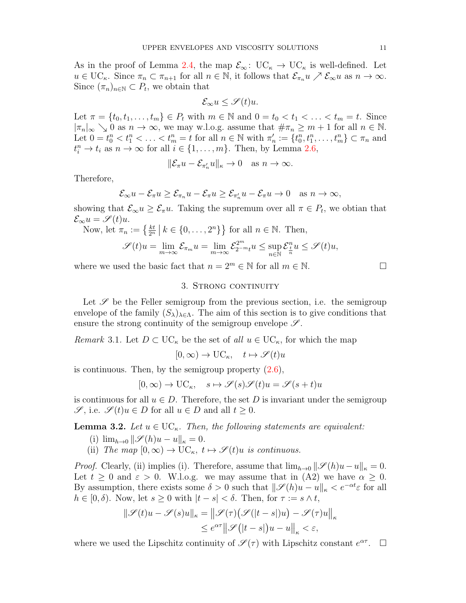As in the proof of Lemma [2.4,](#page-7-2) the map  $\mathcal{E}_{\infty}$ : UC<sub>k</sub>  $\rightarrow$  UC<sub>k</sub> is well-defined. Let  $u \in \mathrm{UC}_{\kappa}$ . Since  $\pi_n \subset \pi_{n+1}$  for all  $n \in \mathbb{N}$ , it follows that  $\mathcal{E}_{\pi_n} u \nearrow \mathcal{E}_{\infty} u$  as  $n \to \infty$ . Since  $(\pi_n)_{n \in \mathbb{N}} \subset P_t$ , we obtain that

$$
\mathcal{E}_{\infty}u \leq \mathscr{S}(t)u.
$$

Let  $\pi = \{t_0, t_1, \ldots, t_m\} \in P_t$  with  $m \in \mathbb{N}$  and  $0 = t_0 < t_1 < \ldots < t_m = t$ . Since  $|\pi_n|_{\infty} \searrow 0$  as  $n \to \infty$ , we may w.l.o.g. assume that  $\#\pi_n \geq m+1$  for all  $n \in \mathbb{N}$ . Let  $0 = t_0^n < t_1^n < \ldots < t_m^n = t$  for all  $n \in \mathbb{N}$  with  $\pi'_n := \{t_0^n, t_1^n, \ldots, t_m^n\} \subset \pi_n$  and  $t_i^n \to t_i$  as  $n \to \infty$  for all  $i \in \{1, \ldots, m\}$ . Then, by Lemma [2.6,](#page-9-2)

$$
\|\mathcal{E}_{\pi}u - \mathcal{E}_{\pi'_n}u\|_{\kappa} \to 0 \quad \text{as } n \to \infty.
$$

Therefore,

$$
\mathcal{E}_{\infty}u-\mathcal{E}_{\pi}u\geq \mathcal{E}_{\pi_n}u-\mathcal{E}_{\pi}u\geq \mathcal{E}_{\pi'_n}u-\mathcal{E}_{\pi}u\to 0 \quad \text{as } n\to\infty,
$$

showing that  $\mathcal{E}_{\infty} u \geq \mathcal{E}_{\pi} u$ . Taking the supremum over all  $\pi \in P_t$ , we obtian that  $\mathcal{E}_{\infty}u = \mathscr{S}(t)u.$ 

Now, let  $\pi_n := \left\{ \frac{kt}{2^n} \mid k \in \{0, \ldots, 2^n\} \right\}$  for all  $n \in \mathbb{N}$ . Then,

$$
\mathscr{S}(t)u = \lim_{m \to \infty} \mathcal{E}_{\pi_m}u = \lim_{m \to \infty} \mathcal{E}_{2^{-m}t}^{2^m}u \le \sup_{n \in \mathbb{N}} \mathcal{E}_{\frac{t}{n}}^nu \le \mathcal{S}(t)u,
$$

<span id="page-10-0"></span>where we used the basic fact that  $n = 2^m \in \mathbb{N}$  for all  $m \in \mathbb{N}$ .

#### 3. STRONG CONTINUITY

Let  $\mathscr S$  be the Feller semigroup from the previous section, i.e. the semigroup envelope of the family  $(S_{\lambda})_{\lambda \in \Lambda}$ . The aim of this section is to give conditions that ensure the strong continuity of the semigroup envelope  $\mathscr{S}$ .

<span id="page-10-1"></span>Remark 3.1. Let  $D \subset \mathrm{UC}_{\kappa}$  be the set of all  $u \in \mathrm{UC}_{\kappa}$ , for which the map

 $[0,\infty) \to \mathrm{UC}_{\kappa}, \quad t \mapsto \mathscr{S}(t)u$ 

is continuous. Then, by the semigroup property [\(2.6\)](#page-8-1),

$$
[0,\infty) \to \mathrm{UC}_{\kappa}, \quad s \mapsto \mathscr{S}(s)\mathscr{S}(t)u = \mathscr{S}(s+t)u
$$

is continuous for all  $u \in D$ . Therefore, the set D is invariant under the semigroup  $\mathscr{S}$ , i.e.  $\mathscr{S}(t)u \in D$  for all  $u \in D$  and all  $t \geq 0$ .

**Lemma 3.2.** Let  $u \in \text{UC}_{\kappa}$ . Then, the following statements are equivalent:

- (i)  $\lim_{h\to 0} \|\mathscr{S}(h)u u\|_{\kappa} = 0.$
- (ii) The map  $[0,\infty) \to \mathrm{UC}_{\kappa}, t \mapsto \mathscr{S}(t)u$  is continuous.

*Proof.* Clearly, (ii) implies (i). Therefore, assume that  $\lim_{h\to 0} ||\mathcal{S}(h)u-u||_{\kappa} = 0$ . Let  $t \geq 0$  and  $\varepsilon > 0$ . W.l.o.g. we may assume that in (A2) we have  $\alpha \geq 0$ . By assumption, there exists some  $\delta > 0$  such that  $\|\mathscr{S}(h)u - u\|_{\kappa} < e^{-\alpha t} \varepsilon$  for all  $h \in [0, \delta)$ . Now, let  $s \geq 0$  with  $|t - s| < \delta$ . Then, for  $\tau := s \wedge t$ ,

$$
\|\mathcal{S}(t)u - \mathcal{S}(s)u\|_{\kappa} = \|\mathcal{S}(\tau)\big(\mathcal{S}(|t-s|)u\big) - \mathcal{S}(\tau)u\|_{\kappa}
$$
  

$$
\leq e^{\alpha \tau} \|\mathcal{S}(|t-s|)u - u\|_{\kappa} < \varepsilon,
$$

where we used the Lipschitz continuity of  $\mathscr{S}(\tau)$  with Lipschitz constant  $e^{\alpha \tau}$ .  $\Box$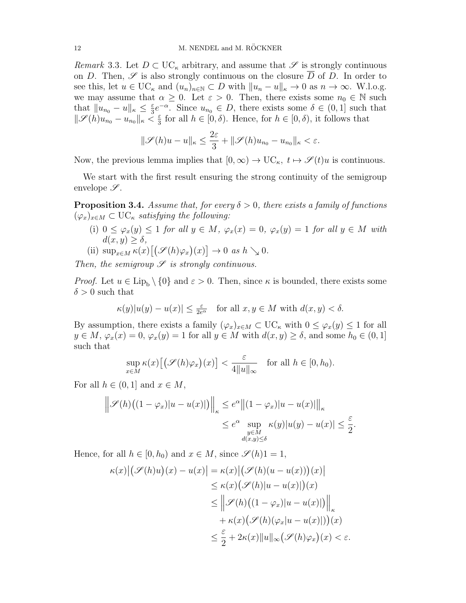<span id="page-11-1"></span>Remark 3.3. Let  $D \subset \mathrm{UC}_{\kappa}$  arbitrary, and assume that  $\mathscr S$  is strongly continuous on D. Then,  $\mathscr S$  is also strongly continuous on the closure  $\overline{D}$  of D. In order to see this, let  $u \in \mathrm{UC}_{\kappa}$  and  $(u_n)_{n \in \mathbb{N}} \subset D$  with  $||u_n - u||_{\kappa} \to 0$  as  $n \to \infty$ . W.l.o.g. we may assume that  $\alpha \geq 0$ . Let  $\varepsilon > 0$ . Then, there exists some  $n_0 \in \mathbb{N}$  such that  $||u_{n_0} - u||_{\kappa} \leq \frac{\varepsilon}{3}$  $\frac{\varepsilon}{3}e^{-\alpha}$ . Since  $u_{n_0} \in D$ , there exists some  $\delta \in (0,1]$  such that  $\|\mathscr{S}(h)u_{n_0}-u_{n_0}\|_{\kappa}<\frac{\varepsilon}{3}$  $\frac{\varepsilon}{3}$  for all  $h \in [0, \delta)$ . Hence, for  $h \in [0, \delta)$ , it follows that

$$
\|\mathscr{S}(h)u - u\|_{\kappa} \le \frac{2\varepsilon}{3} + \|\mathscr{S}(h)u_{n_0} - u_{n_0}\|_{\kappa} < \varepsilon.
$$

Now, the previous lemma implies that  $[0,\infty) \to \mathrm{UC}_{\kappa}, t \mapsto \mathscr{S}(t)u$  is continuous.

We start with the first result ensuring the strong continuity of the semigroup envelope  $\mathscr{S}.$ 

<span id="page-11-0"></span>**Proposition 3.4.** Assume that, for every  $\delta > 0$ , there exists a family of functions  $(\varphi_x)_{x\in M} \subset \mathrm{UC}_{\kappa}$  satisfying the following:

- (i)  $0 \leq \varphi_x(y) \leq 1$  for all  $y \in M$ ,  $\varphi_x(x) = 0$ ,  $\varphi_x(y) = 1$  for all  $y \in M$  with  $d(x, y) > \delta$ ,
- (ii)  $\sup_{x \in M} \kappa(x) [(\mathscr{S}(h)\varphi_x)(x)] \to 0 \text{ as } h \searrow 0.$

Then, the semigroup  $\mathscr S$  is strongly continuous.

*Proof.* Let  $u \in \text{Lip}_{b} \setminus \{0\}$  and  $\varepsilon > 0$ . Then, since  $\kappa$  is bounded, there exists some  $\delta > 0$  such that

$$
\kappa(y) |u(y) - u(x)| \leq \frac{\varepsilon}{2e^{\alpha}} \quad \text{for all } x, y \in M \text{ with } d(x, y) < \delta.
$$

By assumption, there exists a family  $(\varphi_x)_{x \in M} \subset \mathrm{UC}_\kappa$  with  $0 \leq \varphi_x(y) \leq 1$  for all  $y \in M$ ,  $\varphi_x(x) = 0$ ,  $\varphi_x(y) = 1$  for all  $y \in M$  with  $d(x, y) \ge \delta$ , and some  $h_0 \in (0, 1]$ such that

$$
\sup_{x \in M} \kappa(x) \big[ \big(\mathscr{S}(h)\varphi_x\big)(x) \big] < \frac{\varepsilon}{4 \|u\|_{\infty}} \quad \text{for all } h \in [0, h_0).
$$

For all  $h \in (0,1]$  and  $x \in M$ ,

$$
\left\| \mathcal{S}(h) \left( (1 - \varphi_x) |u - u(x)| \right) \right\|_{\kappa} \le e^{\alpha} \left\| (1 - \varphi_x) |u - u(x)| \right\|_{\kappa}
$$
  

$$
\le e^{\alpha} \sup_{\substack{y \in M \\ d(x,y) \le \delta}} \kappa(y) |u(y) - u(x)| \le \frac{\varepsilon}{2}.
$$

Hence, for all  $h \in [0, h_0)$  and  $x \in M$ , since  $\mathscr{S}(h)1 = 1$ ,

$$
\kappa(x) \left| \left( \mathcal{S}(h)u \right)(x) - u(x) \right| = \kappa(x) \left| \left( \mathcal{S}(h)(u - u(x)) \right)(x) \right|
$$
  
\n
$$
\leq \kappa(x) \left( \mathcal{S}(h) |u - u(x)| \right)(x)
$$
  
\n
$$
\leq \left\| \mathcal{S}(h) \left( (1 - \varphi_x) |u - u(x)| \right) \right\|_{\kappa}
$$
  
\n
$$
+ \kappa(x) \left( \mathcal{S}(h)(\varphi_x | u - u(x)|) \right)(x)
$$
  
\n
$$
\leq \frac{\varepsilon}{2} + 2\kappa(x) \|u\|_{\infty} \left( \mathcal{S}(h)\varphi_x \right)(x) < \varepsilon.
$$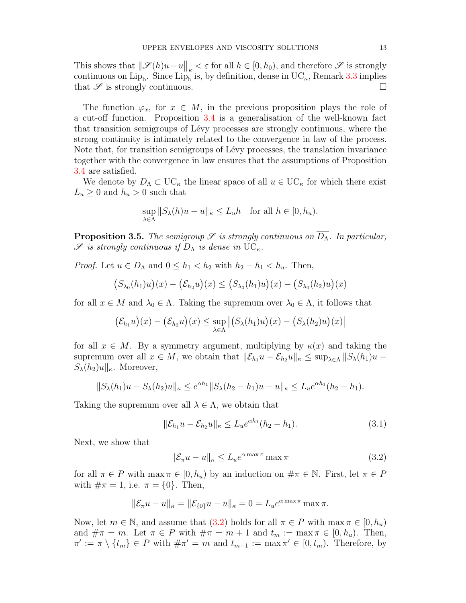This shows that  $\|\mathscr{S}(h)u-u\|_{\kappa} < \varepsilon$  for all  $h \in [0, h_0)$ , and therefore  $\mathscr{S}$  is strongly continuous on  $\text{Lip}_b$ . Since  $\text{Lip}_b$  is, by definition, dense in  $\text{UC}_{\kappa}$ , Remark [3.3](#page-11-1) implies that  $\mathscr S$  is strongly continuous.

The function  $\varphi_x$ , for  $x \in M$ , in the previous proposition plays the role of a cut-off function. Proposition [3.4](#page-11-0) is a generalisation of the well-known fact that transition semigroups of L´evy processes are strongly continuous, where the strong continuity is intimately related to the convergence in law of the process. Note that, for transition semigroups of Lévy processes, the translation invariance together with the convergence in law ensures that the assumptions of Proposition [3.4](#page-11-0) are satisfied.

We denote by  $D_{\Lambda} \subset \mathrm{UC}_{\kappa}$  the linear space of all  $u \in \mathrm{UC}_{\kappa}$  for which there exist  $L_u \geq 0$  and  $h_u > 0$  such that

$$
\sup_{\lambda \in \Lambda} \|S_{\lambda}(h)u - u\|_{\kappa} \le L_u h \quad \text{for all } h \in [0, h_u).
$$

<span id="page-12-0"></span>**Proposition 3.5.** The semigroup  $\mathscr S$  is strongly continuous on  $\overline{D_{\Lambda}}$ . In particular,  $\mathscr S$  is strongly continuous if  $D_\Lambda$  is dense in UC<sub> $\kappa$ </sub>.

*Proof.* Let  $u \in D_\Lambda$  and  $0 \leq h_1 < h_2$  with  $h_2 - h_1 < h_u$ . Then,

$$
(S_{\lambda_0}(h_1)u)(x) - (\mathcal{E}_{h_2}u)(x) \le (S_{\lambda_0}(h_1)u)(x) - (S_{\lambda_0}(h_2)u)(x)
$$

for all  $x \in M$  and  $\lambda_0 \in \Lambda$ . Taking the supremum over  $\lambda_0 \in \Lambda$ , it follows that

$$
(\mathcal{E}_{h_1}u)(x) - (\mathcal{E}_{h_2}u)(x) \le \sup_{\lambda \in \Lambda} |(S_{\lambda}(h_1)u)(x) - (S_{\lambda}(h_2)u)(x)|
$$

for all  $x \in M$ . By a symmetry argument, multiplying by  $\kappa(x)$  and taking the supremum over all  $x \in M$ , we obtain that  $\|\mathcal{E}_{h_1} u - \mathcal{E}_{h_2} u\|_{\kappa} \leq \sup_{\lambda \in \Lambda} \|S_{\lambda}(h_1)u S_{\lambda}(h_2)u\|_{\kappa}$ . Moreover,

$$
||S_{\lambda}(h_1)u - S_{\lambda}(h_2)u||_{\kappa} \le e^{\alpha h_1} ||S_{\lambda}(h_2 - h_1)u - u||_{\kappa} \le L_u e^{\alpha h_1}(h_2 - h_1).
$$

Taking the supremum over all  $\lambda \in \Lambda$ , we obtain that

<span id="page-12-2"></span>
$$
\|\mathcal{E}_{h_1}u - \mathcal{E}_{h_2}u\|_{\kappa} \le L_u e^{\alpha h_1}(h_2 - h_1). \tag{3.1}
$$

Next, we show that

<span id="page-12-1"></span>
$$
\|\mathcal{E}_{\pi}u - u\|_{\kappa} \le L_u e^{\alpha \max \pi} \max \pi \tag{3.2}
$$

for all  $\pi \in P$  with  $\max \pi \in [0, h_u)$  by an induction on  $\#\pi \in \mathbb{N}$ . First, let  $\pi \in P$ with  $\#\pi = 1$ , i.e.  $\pi = \{0\}$ . Then,

$$
\|\mathcal{E}_{\pi}u - u\|_{\kappa} = \|\mathcal{E}_{\{0\}}u - u\|_{\kappa} = 0 = L_u e^{\alpha \max \pi} \max \pi.
$$

Now, let  $m \in \mathbb{N}$ , and assume that  $(3.2)$  holds for all  $\pi \in P$  with  $\max \pi \in [0, h_u)$ and  $\#\pi = m$ . Let  $\pi \in P$  with  $\#\pi = m + 1$  and  $t_m := \max \pi \in [0, h_u)$ . Then,  $\pi' := \pi \setminus \{t_m\} \in P$  with  $\#\pi' = m$  and  $t_{m-1} := \max \pi' \in [0, t_m)$ . Therefore, by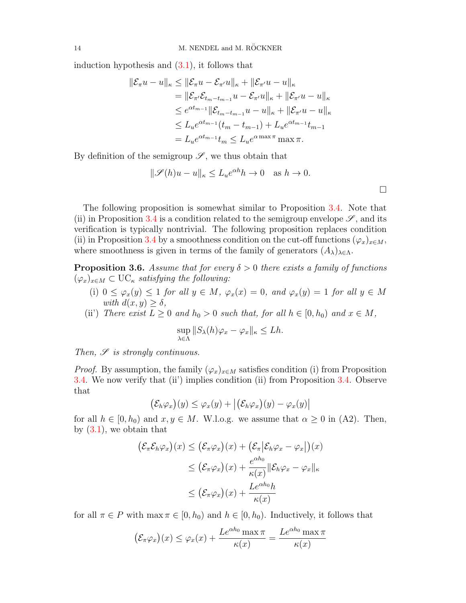induction hypothesis and [\(3.1\)](#page-12-2), it follows that

$$
\|\mathcal{E}_{\pi}u - u\|_{\kappa} \le \|\mathcal{E}_{\pi}u - \mathcal{E}_{\pi'}u\|_{\kappa} + \|\mathcal{E}_{\pi'}u - u\|_{\kappa} \n= \|\mathcal{E}_{\pi'}\mathcal{E}_{t_m - t_{m-1}}u - \mathcal{E}_{\pi'}u\|_{\kappa} + \|\mathcal{E}_{\pi'}u - u\|_{\kappa} \n\le e^{\alpha t_{m-1}}\|\mathcal{E}_{t_m - t_{m-1}}u - u\|_{\kappa} + \|\mathcal{E}_{\pi'}u - u\|_{\kappa} \n\le L_{u}e^{\alpha t_{m-1}}(t_{m} - t_{m-1}) + L_{u}e^{\alpha t_{m-1}}t_{m-1} \n= L_{u}e^{\alpha t_{m-1}}t_{m} \le L_{u}e^{\alpha \max \pi} \max \pi.
$$

By definition of the semigroup  $\mathscr{S}$ , we thus obtain that

$$
\|\mathscr{S}(h)u - u\|_{\kappa} \le L_u e^{\alpha h} h \to 0 \quad \text{as } h \to 0.
$$

 $\Box$ 

The following proposition is somewhat similar to Proposition [3.4.](#page-11-0) Note that (ii) in Proposition [3.4](#page-11-0) is a condition related to the semigroup envelope  $\mathscr{S}$ , and its verification is typically nontrivial. The following proposition replaces condition (ii) in Proposition [3.4](#page-11-0) by a smoothness condition on the cut-off functions  $(\varphi_x)_{x\in M}$ , where smoothness is given in terms of the family of generators  $(A_{\lambda})_{\lambda \in \Lambda}$ .

<span id="page-13-0"></span>**Proposition 3.6.** Assume that for every  $\delta > 0$  there exists a family of functions  $(\varphi_x)_{x\in M} \subset \mathrm{UC}_{\kappa}$  satisfying the following:

(i)  $0 \leq \varphi_x(y) \leq 1$  for all  $y \in M$ ,  $\varphi_x(x) = 0$ , and  $\varphi_x(y) = 1$  for all  $y \in M$ with  $d(x, y) > \delta$ ,

(ii) There exist  $L \geq 0$  and  $h_0 > 0$  such that, for all  $h \in [0, h_0)$  and  $x \in M$ ,

$$
\sup_{\lambda \in \Lambda} \|S_{\lambda}(h)\varphi_x - \varphi_x\|_{\kappa} \le Lh.
$$

Then,  $\mathscr S$  is strongly continuous.

*Proof.* By assumption, the family  $(\varphi_x)_{x \in M}$  satisfies condition (i) from Proposition [3.4.](#page-11-0) We now verify that (ii') implies condition (ii) from Proposition [3.4.](#page-11-0) Observe that

$$
(\mathcal{E}_h\varphi_x)(y) \leq \varphi_x(y) + |(\mathcal{E}_h\varphi_x)(y) - \varphi_x(y)|
$$

for all  $h \in [0, h_0)$  and  $x, y \in M$ . W.l.o.g. we assume that  $\alpha \geq 0$  in (A2). Then, by  $(3.1)$ , we obtain that

$$
(\mathcal{E}_{\pi}\mathcal{E}_{h}\varphi_{x})(x) \leq (\mathcal{E}_{\pi}\varphi_{x})(x) + (\mathcal{E}_{\pi}|\mathcal{E}_{h}\varphi_{x} - \varphi_{x}|)(x)
$$
  

$$
\leq (\mathcal{E}_{\pi}\varphi_{x})(x) + \frac{e^{\alpha h_{0}}}{\kappa(x)}\|\mathcal{E}_{h}\varphi_{x} - \varphi_{x}\|_{\kappa}
$$
  

$$
\leq (\mathcal{E}_{\pi}\varphi_{x})(x) + \frac{Le^{\alpha h_{0}}h}{\kappa(x)}
$$

for all  $\pi \in P$  with  $\max \pi \in [0, h_0)$  and  $h \in [0, h_0)$ . Inductively, it follows that

$$
\left(\mathcal{E}_{\pi}\varphi_x\right)(x) \leq \varphi_x(x) + \frac{Le^{\alpha h_0} \max \pi}{\kappa(x)} = \frac{Le^{\alpha h_0} \max \pi}{\kappa(x)}
$$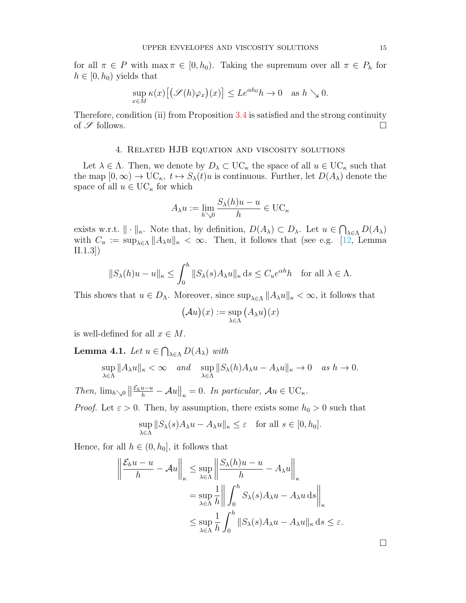for all  $\pi \in P$  with  $\max \pi \in [0, h_0)$ . Taking the supremum over all  $\pi \in P_h$  for  $h \in [0, h_0)$  yields that

$$
\sup_{x \in M} \kappa(x) \big[ \big(\mathscr{S}(h)\varphi_x\big)(x) \big] \leq Le^{\alpha h_0} h \to 0 \quad \text{as } h \searrow 0.
$$

Therefore, condition (ii) from Proposition [3.4](#page-11-0) is satisfied and the strong continuity of  $\mathscr S$  follows.

# 4. Related HJB equation and viscosity solutions

<span id="page-14-0"></span>Let  $\lambda \in \Lambda$ . Then, we denote by  $D_{\lambda} \subset \mathrm{UC}_{\kappa}$  the space of all  $u \in \mathrm{UC}_{\kappa}$  such that the map  $[0,\infty) \to \mathrm{UC}_{\kappa}, t \mapsto S_{\lambda}(t)u$  is continuous. Further, let  $D(A_{\lambda})$  denote the space of all  $u \in \mathrm{UC}_{\kappa}$  for which

$$
A_{\lambda}u := \lim_{h \searrow 0} \frac{S_{\lambda}(h)u - u}{h} \in \mathrm{UC}_{\kappa}
$$

exists w.r.t.  $\|\cdot\|_{\kappa}$ . Note that, by definition,  $D(A_{\lambda}) \subset D_{\lambda}$ . Let  $u \in \bigcap_{\lambda \in \Lambda} D(A_{\lambda})$ with  $C_u := \sup_{\lambda \in \Lambda} ||A_{\lambda}u||_{\kappa} < \infty$ . Then, it follows that (see e.g. [\[12,](#page-32-7) Lemma II.1.3])

$$
||S_{\lambda}(h)u - u||_{\kappa} \le \int_0^h ||S_{\lambda}(s)A_{\lambda}u||_{\kappa} ds \le C_u e^{\alpha h}h \quad \text{for all } \lambda \in \Lambda.
$$

This shows that  $u \in D_\Lambda$ . Moreover, since  $\sup_{\lambda \in \Lambda} ||A_\lambda u||_{\kappa} < \infty$ , it follows that

$$
(\mathcal{A}u)(x) := \sup_{\lambda \in \Lambda} (A_{\lambda}u)(x)
$$

is well-defined for all  $x \in M$ .

<span id="page-14-1"></span>**Lemma 4.1.** Let  $u \in \bigcap_{\lambda \in \Lambda} D(A_{\lambda})$  with

$$
\sup_{\lambda\in\Lambda}\|A_\lambda u\|_\kappa<\infty\quad\text{and}\quad \sup_{\lambda\in\Lambda}\|S_\lambda(h)A_\lambda u-A_\lambda u\|_\kappa\to0\quad\text{as }h\to0.
$$

Then,  $\lim_{h\searrow0} \left\|\frac{\mathcal{E}_h u-u}{h} - \mathcal{A}u\right\|_{\kappa} = 0$ . In particular,  $\mathcal{A}u \in \mathrm{UC}_{\kappa}$ .

*Proof.* Let  $\varepsilon > 0$ . Then, by assumption, there exists some  $h_0 > 0$  such that

$$
\sup_{\lambda \in \Lambda} ||S_{\lambda}(s)A_{\lambda}u - A_{\lambda}u||_{\kappa} \leq \varepsilon \quad \text{for all } s \in [0, h_0].
$$

Hence, for all  $h \in (0, h_0]$ , it follows that

$$
\left\| \frac{\mathcal{E}_h u - u}{h} - \mathcal{A}u \right\|_{\kappa} \le \sup_{\lambda \in \Lambda} \left\| \frac{S_{\lambda}(h)u - u}{h} - A_{\lambda}u \right\|_{\kappa}
$$
  
= 
$$
\sup_{\lambda \in \Lambda} \frac{1}{h} \left\| \int_0^h S_{\lambda}(s) A_{\lambda} u - A_{\lambda}u \, ds \right\|_{\kappa}
$$
  

$$
\le \sup_{\lambda \in \Lambda} \frac{1}{h} \int_0^h ||S_{\lambda}(s) A_{\lambda} u - A_{\lambda}u||_{\kappa} \, ds \le \varepsilon.
$$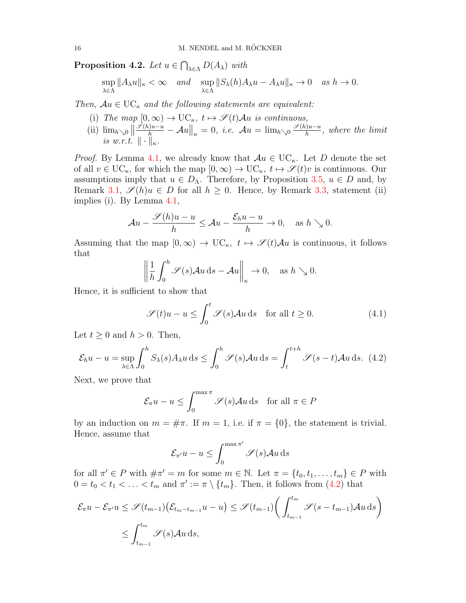**Proposition 4.2.** Let  $u \in \bigcap_{\lambda \in \Lambda} D(A_{\lambda})$  with

$$
\sup_{\lambda \in \Lambda} ||A_{\lambda}u||_{\kappa} < \infty \quad \text{and} \quad \sup_{\lambda \in \Lambda} ||S_{\lambda}(h)A_{\lambda}u - A_{\lambda}u||_{\kappa} \to 0 \quad \text{as } h \to 0.
$$

Then,  $Au \in \mathrm{UC}_{\kappa}$  and the following statements are equivalent:

- (i) The map  $[0, \infty) \to \mathrm{UC}_{\kappa}, t \mapsto \mathscr{S}(t)\mathcal{A}u$  is continuous,
- (ii)  $\lim_{h\searrow0}$  $\frac{\mathscr{S}(h)u-u}{h}-\mathcal{A}u\Big\|_{\kappa}=0, \ i.e. \ \mathcal{A}u=\lim_{h\searrow 0}\frac{\mathscr{S}(h)u-u}{h}$  $\frac{h^{(n)}-u}{h}$ , where the limit is w.r.t.  $\|\cdot\|_{\kappa}$ .

*Proof.* By Lemma [4.1,](#page-14-1) we already know that  $Au \in UC_{\kappa}$ . Let D denote the set of all  $v \in \text{UC}_{\kappa}$ , for which the map  $[0,\infty) \to \text{UC}_{\kappa}$ ,  $t \mapsto \mathscr{S}(t)v$  is continuous. Our assumptions imply that  $u \in D_{\Lambda}$ . Therefore, by Proposition [3.5,](#page-12-0)  $u \in D$  and, by Remark [3.1,](#page-10-1)  $\mathscr{S}(h)u \in D$  for all  $h \geq 0$ . Hence, by Remark [3.3,](#page-11-1) statement (ii) implies (i). By Lemma [4.1,](#page-14-1)

$$
\mathcal{A}u - \frac{\mathscr{S}(h)u - u}{h} \le \mathcal{A}u - \frac{\mathcal{E}_h u - u}{h} \to 0, \quad \text{as } h \searrow 0.
$$

Assuming that the map  $[0, \infty) \to \mathbf{UC}_{\kappa}, t \mapsto \mathcal{S}(t)\mathcal{A}u$  is continuous, it follows that

$$
\left\|\frac{1}{h}\int_0^h \mathscr{S}(s)\mathcal{A}u \,ds - \mathcal{A}u\right\|_{\kappa} \to 0, \quad \text{as } h \searrow 0.
$$

Hence, it is sufficient to show that

$$
\mathscr{S}(t)u - u \le \int_0^t \mathscr{S}(s)\mathcal{A}u \,ds \quad \text{for all } t \ge 0. \tag{4.1}
$$

Let  $t \geq 0$  and  $h > 0$ . Then,

<span id="page-15-0"></span>
$$
\mathcal{E}_h u - u = \sup_{\lambda \in \Lambda} \int_0^h S_\lambda(s) A_\lambda u \, ds \le \int_0^h \mathcal{S}(s) A u \, ds = \int_t^{t+h} \mathcal{S}(s-t) A u \, ds. \tag{4.2}
$$

Next, we prove that

$$
\mathcal{E}_{\pi}u - u \le \int_0^{\max \pi} \mathcal{S}(s) \mathcal{A}u \, ds \quad \text{for all } \pi \in P
$$

by an induction on  $m = \text{\#}\pi$ . If  $m = 1$ , i.e. if  $\pi = \{0\}$ , the statement is trivial. Hence, assume that

$$
\mathcal{E}_{\pi'} u - u \le \int_0^{\max \pi'} \mathcal{S}(s) \mathcal{A} u \, \mathrm{d} s
$$

for all  $\pi' \in P$  with  $\#\pi' = m$  for some  $m \in \mathbb{N}$ . Let  $\pi = \{t_0, t_1, \ldots, t_m\} \in P$  with  $0 = t_0 < t_1 < \ldots < t_m$  and  $\pi' := \pi \setminus \{t_m\}$ . Then, it follows from [\(4.2\)](#page-15-0) that

$$
\mathcal{E}_{\pi}u - \mathcal{E}_{\pi'}u \leq \mathcal{S}(t_{m-1})\left(\mathcal{E}_{t_m - t_{m-1}}u - u\right) \leq \mathcal{S}(t_{m-1})\left(\int_{t_{m-1}}^{t_m} \mathcal{S}(s - t_{m-1})\mathcal{A}u \,ds\right)
$$
  

$$
\leq \int_{t_{m-1}}^{t_m} \mathcal{S}(s)\mathcal{A}u \,ds,
$$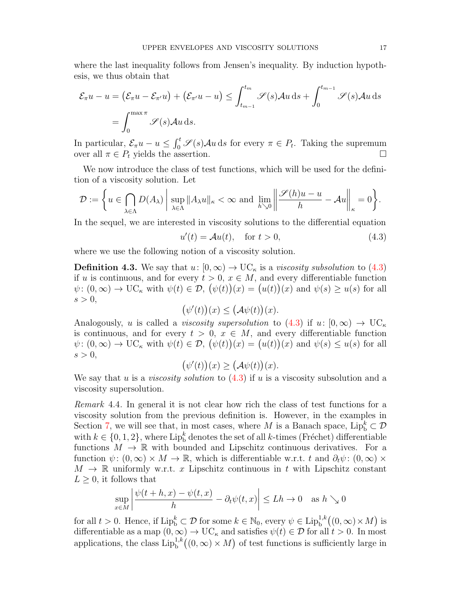where the last inequality follows from Jensen's inequality. By induction hypothesis, we thus obtain that

$$
\mathcal{E}_{\pi}u - u = (\mathcal{E}_{\pi}u - \mathcal{E}_{\pi'}u) + (\mathcal{E}_{\pi'}u - u) \le \int_{t_{m-1}}^{t_m} \mathcal{S}(s)Au \,ds + \int_0^{t_{m-1}} \mathcal{S}(s)Au \,ds
$$

$$
= \int_0^{\max \pi} \mathcal{S}(s)Au \,ds.
$$

In particular,  $\mathcal{E}_{\pi}u - u \leq \int_0^t \mathcal{S}(s) \mathcal{A}u \, ds$  for every  $\pi \in P_t$ . Taking the supremum over all  $\pi \in P_t$  yields the assertion.

We now introduce the class of test functions, which will be used for the definition of a viscosity solution. Let

$$
\mathcal{D} := \left\{ u \in \bigcap_{\lambda \in \Lambda} D(A_{\lambda}) \, \middle| \, \sup_{\lambda \in \Lambda} \|A_{\lambda} u\|_{\kappa} < \infty \text{ and } \lim_{h \searrow 0} \left\| \frac{\mathscr{S}(h) u - u}{h} - \mathcal{A} u \right\|_{\kappa} = 0 \right\}.
$$

In the sequel, we are interested in viscosity solutions to the differential equation

<span id="page-16-0"></span>
$$
u'(t) = \mathcal{A}u(t), \quad \text{for } t > 0,
$$
\n
$$
(4.3)
$$

where we use the following notion of a viscosity solution.

<span id="page-16-2"></span>**Definition 4.3.** We say that  $u: [0, \infty) \to \mathbb{U}C_{\kappa}$  is a *viscosity subsolution* to [\(4.3\)](#page-16-0) if u is continuous, and for every  $t > 0$ ,  $x \in M$ , and every differentiable function  $\psi: (0, \infty) \to \mathrm{UC}_{\kappa}$  with  $\psi(t) \in \mathcal{D}, (\psi(t))(x) = (u(t))(x)$  and  $\psi(s) \ge u(s)$  for all  $s > 0$ ,

$$
(\psi'(t))(x) \leq (\mathcal{A}\psi(t))(x).
$$

Analogously, u is called a *viscosity supersolution* to [\(4.3\)](#page-16-0) if  $u: [0, \infty) \to \mathrm{UC}_\kappa$ is continuous, and for every  $t > 0$ ,  $x \in M$ , and every differentiable function  $\psi: (0, \infty) \to \mathrm{UC}_{\kappa}$  with  $\psi(t) \in \mathcal{D}, (\psi(t))(x) = (u(t))(x)$  and  $\psi(s) \le u(s)$  for all  $s > 0$ ,

$$
(\psi'(t))(x) \geq (\mathcal{A}\psi(t))(x).
$$

We say that u is a *viscosity solution* to  $(4.3)$  if u is a viscosity subsolution and a viscosity supersolution.

<span id="page-16-1"></span>Remark 4.4. In general it is not clear how rich the class of test functions for a viscosity solution from the previous definition is. However, in the examples in Section [7,](#page-27-0) we will see that, in most cases, where M is a Banach space,  $\text{Lip}_b^k \subset \mathcal{D}$ with  $k \in \{0, 1, 2\}$ , where  $\text{Lip}_b^k$  denotes the set of all k-times (Fréchet) differentiable functions  $M \to \mathbb{R}$  with bounded and Lipschitz continuous derivatives. For a function  $\psi: (0,\infty) \times M \to \mathbb{R}$ , which is differentiable w.r.t. t and  $\partial_t \psi: (0,\infty) \times$  $M \to \mathbb{R}$  uniformly w.r.t. x Lipschitz continuous in t with Lipschitz constant  $L \geq 0$ , it follows that

$$
\sup_{x \in M} \left| \frac{\psi(t+h, x) - \psi(t, x)}{h} - \partial_t \psi(t, x) \right| \le Lh \to 0 \quad \text{as } h \searrow 0
$$

for all  $t > 0$ . Hence, if  $\text{Lip}_b^k \subset \mathcal{D}$  for some  $k \in \mathbb{N}_0$ , every  $\psi \in \text{Lip}_b^{1,k}((0, \infty) \times M)$  is differentiable as a map  $(0, \infty) \to \mathrm{UC}_{\kappa}$  and satisfies  $\psi(t) \in \mathcal{D}$  for all  $t > 0$ . In most applications, the class  $\text{Lip}_{b}^{1,k}((0,\infty) \times M)$  of test functions is sufficiently large in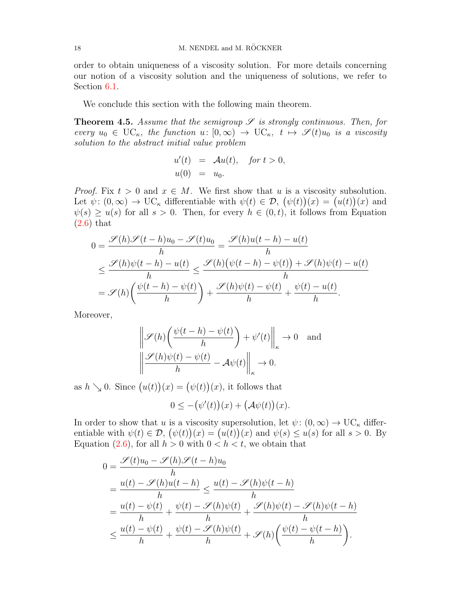order to obtain uniqueness of a viscosity solution. For more details concerning our notion of a viscosity solution and the uniqueness of solutions, we refer to Section [6.1.](#page-21-1)

We conclude this section with the following main theorem.

<span id="page-17-0"></span>**Theorem 4.5.** Assume that the semigroup  $\mathscr S$  is strongly continuous. Then, for every  $u_0 \in \mathrm{UC}_{\kappa}$ , the function  $u: [0,\infty) \to \mathrm{UC}_{\kappa}$ ,  $t \mapsto \mathscr{S}(t)u_0$  is a viscosity solution to the abstract initial value problem

$$
u'(t) = \mathcal{A}u(t), \quad \text{for } t > 0,
$$
  

$$
u(0) = u_0.
$$

*Proof.* Fix  $t > 0$  and  $x \in M$ . We first show that u is a viscosity subsolution. Let  $\psi: (0, \infty) \to \mathrm{UC}_{\kappa}$  differentiable with  $\psi(t) \in \mathcal{D}, (\psi(t))(x) = (u(t))(x)$  and  $\psi(s) \geq u(s)$  for all  $s > 0$ . Then, for every  $h \in (0, t)$ , it follows from Equation [\(2.6\)](#page-8-1) that

$$
0 = \frac{\mathcal{S}(h)\mathcal{S}(t-h)u_0 - \mathcal{S}(t)u_0}{h} = \frac{\mathcal{S}(h)u(t-h) - u(t)}{h}
$$
  

$$
\leq \frac{\mathcal{S}(h)\psi(t-h) - u(t)}{h} \leq \frac{\mathcal{S}(h)(\psi(t-h) - \psi(t)) + \mathcal{S}(h)\psi(t) - u(t)}{h}
$$
  

$$
= \mathcal{S}(h)\left(\frac{\psi(t-h) - \psi(t)}{h}\right) + \frac{\mathcal{S}(h)\psi(t) - \psi(t)}{h} + \frac{\psi(t) - u(t)}{h}.
$$

Moreover,

$$
\left\| \mathcal{S}(h) \left( \frac{\psi(t-h) - \psi(t)}{h} \right) + \psi'(t) \right\|_{\kappa} \to 0 \text{ and}
$$

$$
\left\| \frac{\mathcal{S}(h)\psi(t) - \psi(t)}{h} - \mathcal{A}\psi(t) \right\|_{\kappa} \to 0.
$$

as  $h \searrow 0$ . Since  $(u(t))(x) = (\psi(t))(x)$ , it follows that

 $0 \leq -(\psi'(t))(x) + (\mathcal{A}\psi(t))(x).$ 

In order to show that u is a viscosity supersolution, let  $\psi: (0, \infty) \to \mathrm{UC}_{\kappa}$  differentiable with  $\psi(t) \in \mathcal{D}, (\psi(t))(x) = (u(t))(x)$  and  $\psi(s) \leq u(s)$  for all  $s > 0$ . By Equation [\(2.6\)](#page-8-1), for all  $h > 0$  with  $0 < h < t$ , we obtain that

$$
0 = \frac{\mathcal{S}(t)u_0 - \mathcal{S}(h)\mathcal{S}(t-h)u_0}{h}
$$
  
= 
$$
\frac{u(t) - \mathcal{S}(h)u(t-h)}{h} \le \frac{u(t) - \mathcal{S}(h)\psi(t-h)}{h}
$$
  
= 
$$
\frac{u(t) - \psi(t)}{h} + \frac{\psi(t) - \mathcal{S}(h)\psi(t)}{h} + \frac{\mathcal{S}(h)\psi(t) - \mathcal{S}(h)\psi(t-h)}{h}
$$
  

$$
\le \frac{u(t) - \psi(t)}{h} + \frac{\psi(t) - \mathcal{S}(h)\psi(t)}{h} + \mathcal{S}(h)\left(\frac{\psi(t) - \psi(t-h)}{h}\right).
$$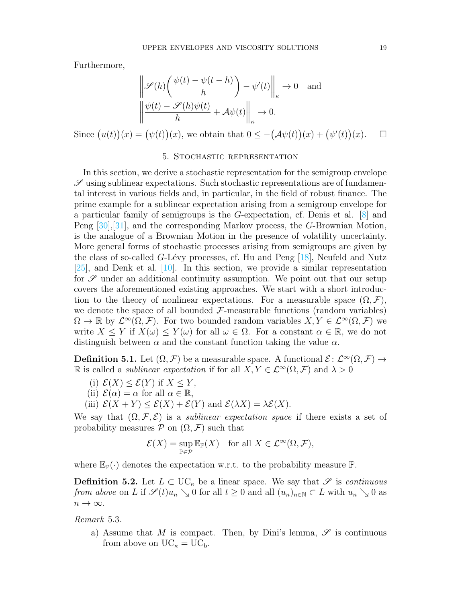Furthermore,

$$
\left\| \mathcal{S}(h) \left( \frac{\psi(t) - \psi(t - h)}{h} \right) - \psi'(t) \right\|_{\kappa} \to 0 \text{ and}
$$

$$
\left\| \frac{\psi(t) - \mathcal{S}(h)\psi(t)}{h} + A\psi(t) \right\|_{\kappa} \to 0.
$$

Since  $(u(t))(x) = (\psi(t))(x)$ , we obtain that  $0 \leq -(\mathcal{A}\psi(t))(x) + (\psi'(t))(x)$ .  $\Box$ 

# 5. Stochastic representation

<span id="page-18-1"></span>In this section, we derive a stochastic representation for the semigroup envelope  $\mathscr S$  using sublinear expectations. Such stochastic representations are of fundamental interest in various fields and, in particular, in the field of robust finance. The prime example for a sublinear expectation arising from a semigroup envelope for a particular family of semigroups is the G-expectation, cf. Denis et al. [\[8\]](#page-31-2) and Peng [\[30\]](#page-32-0),[\[31\]](#page-32-1), and the corresponding Markov process, the G-Brownian Motion, is the analogue of a Brownian Motion in the presence of volatility uncertainty. More general forms of stochastic processes arising from semigroups are given by the class of so-called  $G$ -Lévy processes, cf. Hu and Peng  $[18]$ , Neufeld and Nutz [\[25\]](#page-32-4), and Denk et al. [\[10\]](#page-31-1). In this section, we provide a similar representation for  $\mathscr S$  under an additional continuity assumption. We point out that our setup covers the aforementioned existing approaches. We start with a short introduction to the theory of nonlinear expectations. For a measurable space  $(\Omega, \mathcal{F}),$ we denote the space of all bounded  $\mathcal{F}\text{-measurable functions}$  (random variables)  $\Omega \to \mathbb{R}$  by  $\mathcal{L}^{\infty}(\Omega, \mathcal{F})$ . For two bounded random variables  $X, Y \in \mathcal{L}^{\infty}(\Omega, \mathcal{F})$  we write  $X \leq Y$  if  $X(\omega) \leq Y(\omega)$  for all  $\omega \in \Omega$ . For a constant  $\alpha \in \mathbb{R}$ , we do not distinguish between  $\alpha$  and the constant function taking the value  $\alpha$ .

**Definition 5.1.** Let  $(\Omega, \mathcal{F})$  be a measurable space. A functional  $\mathcal{E}: \mathcal{L}^{\infty}(\Omega, \mathcal{F}) \to$ R is called a *sublinear expectation* if for all  $X, Y \in \mathcal{L}^{\infty}(\Omega, \mathcal{F})$  and  $\lambda > 0$ 

- (i)  $\mathcal{E}(X) \leq \mathcal{E}(Y)$  if  $X \leq Y$ ,
- (ii)  $\mathcal{E}(\alpha) = \alpha$  for all  $\alpha \in \mathbb{R}$ ,
- (iii)  $\mathcal{E}(X+Y) \leq \mathcal{E}(X) + \mathcal{E}(Y)$  and  $\mathcal{E}(\lambda X) = \lambda \mathcal{E}(X)$ .

We say that  $(\Omega, \mathcal{F}, \mathcal{E})$  is a *sublinear expectation space* if there exists a set of probability measures  $\mathcal P$  on  $(\Omega, \mathcal F)$  such that

$$
\mathcal{E}(X) = \sup_{\mathbb{P}\in\mathcal{P}} \mathbb{E}_{\mathbb{P}}(X) \quad \text{for all } X \in \mathcal{L}^{\infty}(\Omega, \mathcal{F}),
$$

where  $\mathbb{E}_{\mathbb{P}}(\cdot)$  denotes the expectation w.r.t. to the probability measure  $\mathbb{P}$ .

**Definition 5.2.** Let  $L \subset \mathrm{UC}_{\kappa}$  be a linear space. We say that  $\mathscr S$  is continuous from above on L if  $\mathscr{S}(t)u_n \searrow 0$  for all  $t \geq 0$  and all  $(u_n)_{n \in \mathbb{N}} \subset L$  with  $u_n \searrow 0$  as  $n \to \infty$ .

<span id="page-18-0"></span>Remark 5.3.

a) Assume that M is compact. Then, by Dini's lemma,  $\mathscr S$  is continuous from above on  $UC_{\kappa} = UC_{b}$ .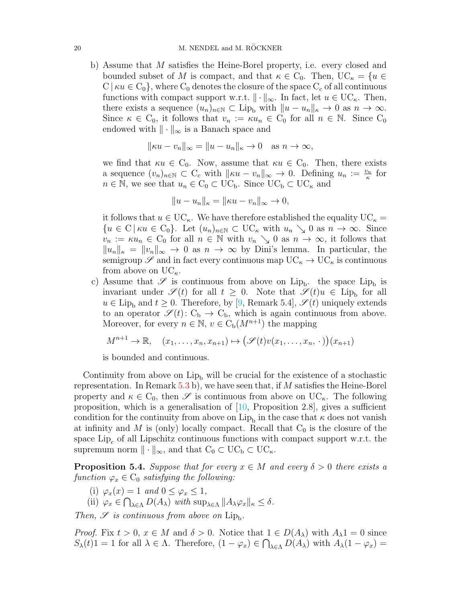b) Assume that M satisfies the Heine-Borel property, i.e. every closed and bounded subset of M is compact, and that  $\kappa \in C_0$ . Then,  $UC_{\kappa} = \{u \in$  $C \mid \kappa u \in C_0$ , where  $C_0$  denotes the closure of the space  $C_c$  of all continuous functions with compact support w.r.t.  $\|\cdot\|_{\infty}$ . In fact, let  $u \in \mathrm{UC}_{\kappa}$ . Then, there exists a sequence  $(u_n)_{n\in\mathbb{N}}\subset \text{Lip}_b$  with  $||u - u_n||_{\kappa} \to 0$  as  $n \to \infty$ . Since  $\kappa \in C_0$ , it follows that  $v_n := \kappa u_n \in C_0$  for all  $n \in \mathbb{N}$ . Since  $C_0$ endowed with  $\|\cdot\|_{\infty}$  is a Banach space and

$$
\|\kappa u - v_n\|_{\infty} = \|u - u_n\|_{\kappa} \to 0 \quad \text{as } n \to \infty,
$$

we find that  $\kappa u \in C_0$ . Now, assume that  $\kappa u \in C_0$ . Then, there exists a sequence  $(v_n)_{n\in\mathbb{N}}\subset C_c$  with  $||\kappa u - v_n||_{\infty} \to 0$ . Defining  $u_n := \frac{v_n}{\kappa}$  for  $n \in \mathbb{N}$ , we see that  $u_n \in C_0 \subset \mathrm{UC}_b$ . Since  $\mathrm{UC}_b \subset \mathrm{UC}_\kappa$  and

$$
||u - u_n||_{\kappa} = ||\kappa u - v_n||_{\infty} \to 0,
$$

it follows that  $u \in \mathrm{UC}_{\kappa}$ . We have therefore established the equality  $\mathrm{UC}_{\kappa} =$  ${u \in \mathcal{C} \mid \kappa u \in \mathcal{C}_0}.$  Let  $(u_n)_{n \in \mathbb{N}} \subset \mathcal{U}\mathcal{C}_\kappa$  with  $u_n \searrow 0$  as  $n \to \infty$ . Since  $v_n := \kappa u_n \in C_0$  for all  $n \in \mathbb{N}$  with  $v_n \searrow 0$  as  $n \to \infty$ , it follows that  $||u_n||_{\kappa} = ||v_n||_{\infty} \to 0$  as  $n \to \infty$  by Dini's lemma. In particular, the semigroup  $\mathscr S$  and in fact every continuous map  $\mathrm{UC}_{\kappa} \to \mathrm{UC}_{\kappa}$  is continuous from above on  $UC_{\kappa}$ .

c) Assume that  $\mathscr S$  is continuous from above on Lip<sub>b</sub>. the space Lip<sub>b</sub> is invariant under  $\mathscr{S}(t)$  for all  $t \geq 0$ . Note that  $\mathscr{S}(t)u \in \text{Lip}_{b}$  for all  $u \in \text{Lip}_{b}$  and  $t \geq 0$ . Therefore, by [\[9,](#page-31-3) Remark 5.4],  $\mathscr{S}(t)$  uniquely extends to an operator  $\mathscr{S}(t): C_{b} \to C_{b}$ , which is again continuous from above. Moreover, for every  $n \in \mathbb{N}$ ,  $v \in C_{\rm b}(M^{n+1})$  the mapping

$$
M^{n+1} \to \mathbb{R}, \quad (x_1, \ldots, x_n, x_{n+1}) \mapsto (\mathscr{S}(t)v(x_1, \ldots, x_n, \cdot))(x_{n+1})
$$

is bounded and continuous.

Continuity from above on  $Lip_b$  will be crucial for the existence of a stochastic representation. In Remark [5.3](#page-18-0) b), we have seen that, if M satisfies the Heine-Borel property and  $\kappa \in C_0$ , then  $\mathscr S$  is continuous from above on  $\mathrm{UC}_{\kappa}$ . The following proposition, which is a generalisation of  $[10,$  Proposition 2.8, gives a sufficient condition for the continuity from above on  $\mathrm{Lip}_b$  in the case that  $\kappa$  does not vanish at infinity and M is (only) locally compact. Recall that  $C_0$  is the closure of the space  $\text{Lip}_c$  of all Lipschitz continuous functions with compact support w.r.t. the supremum norm  $\|\cdot\|_{\infty}$ , and that  $C_0 \subset UC_b \subset UC_{\kappa}$ .

<span id="page-19-0"></span>**Proposition 5.4.** Suppose that for every  $x \in M$  and every  $\delta > 0$  there exists a function  $\varphi_x \in C_0$  satisfying the following:

- (i)  $\varphi_x(x) = 1$  and  $0 \leq \varphi_x \leq 1$ ,
- (ii)  $\varphi_x \in \bigcap_{\lambda \in \Lambda} D(A_{\lambda})$  with  $\sup_{\lambda \in \Lambda} ||A_{\lambda} \varphi_x||_{\kappa} \leq \delta$ .

Then,  $\mathscr S$  is continuous from above on  $\text{Lip}_b$ .

*Proof.* Fix  $t > 0$ ,  $x \in M$  and  $\delta > 0$ . Notice that  $1 \in D(A_\lambda)$  with  $A_\lambda 1 = 0$  since  $S_{\lambda}(t)1 = 1$  for all  $\lambda \in \Lambda$ . Therefore,  $(1 - \varphi_x) \in \bigcap_{\lambda \in \Lambda} D(A_{\lambda})$  with  $A_{\lambda}(1 - \varphi_x) =$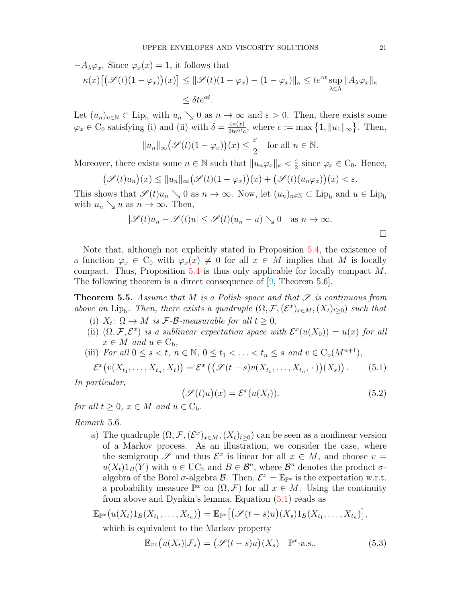$$
-A_{\lambda}\varphi_x. \text{ Since } \varphi_x(x) = 1, \text{ it follows that}
$$

$$
\kappa(x)\big[\big(\mathscr{S}(t)(1-\varphi_x)\big)(x)\big] \le ||\mathscr{S}(t)(1-\varphi_x) - (1-\varphi_x)||_{\kappa} \le te^{\alpha t} \sup_{\lambda \in \Lambda} ||A_{\lambda}\varphi_x||_{\kappa}
$$

$$
\le \delta t e^{\alpha t}.
$$

Let  $(u_n)_{n\in\mathbb{N}}\subset \text{Lip}_b$  with  $u_n\searrow 0$  as  $n\to\infty$  and  $\varepsilon>0$ . Then, there exists some  $\varphi_x \in C_0$  satisfying (i) and (ii) with  $\delta = \frac{\varepsilon \kappa(x)}{2te^{\alpha t}}$  $\frac{\varepsilon \kappa(x)}{2te^{\alpha t}c}$ , where  $c := \max\left\{1, \|u_1\|_{\infty}\right\}$ . Then,

$$
||u_n||_{\infty} (\mathscr{S}(t)(1-\varphi_x))(x) \leq \frac{\varepsilon}{2}
$$
 for all  $n \in \mathbb{N}$ .

Moreover, there exists some  $n \in \mathbb{N}$  such that  $||u_n\varphi_x||_{\kappa} < \frac{\varepsilon}{2}$  $\frac{\varepsilon}{2}$  since  $\varphi_x \in C_0$ . Hence,

$$
\big(\mathscr{S}(t)u_n\big)(x) \le \|u_n\|_{\infty} \big(\mathscr{S}(t)(1-\varphi_x)\big)(x) + \big(\mathscr{S}(t)(u_n\varphi_x)\big)(x) < \varepsilon.
$$

This shows that  $\mathscr{S}(t)u_n \searrow 0$  as  $n \to \infty$ . Now, let  $(u_n)_{n \in \mathbb{N}} \subset \text{Lip}_b$  and  $u \in \text{Lip}_b$ with  $u_n \searrow u$  as  $n \to \infty$ . Then,

$$
|\mathscr{S}(t)u_n - \mathscr{S}(t)u| \le \mathscr{S}(t)(u_n - u) \searrow 0 \quad \text{as } n \to \infty.
$$

Note that, although not explicitly stated in Proposition [5.4,](#page-19-0) the existence of a function  $\varphi_x \in C_0$  with  $\varphi_x(x) \neq 0$  for all  $x \in M$  implies that M is locally compact. Thus, Proposition [5.4](#page-19-0) is thus only applicable for locally compact M. The following theorem is a direct consequence of [\[9,](#page-31-3) Theorem 5.6].

<span id="page-20-0"></span>**Theorem 5.5.** Assume that M is a Polish space and that  $\mathscr S$  is continuous from above on Lip<sub>b</sub>. Then, there exists a quadruple  $(\Omega, \mathcal{F}, (\mathcal{E}^x)_{x \in M}, (X_t)_{t \geq 0})$  such that

- (i)  $X_t: \Omega \to M$  is  $\mathcal{F}\text{-}\mathcal{B}\text{-}measurable$  for all  $t \geq 0$ ,
- (ii)  $(\Omega, \mathcal{F}, \mathcal{E}^x)$  is a sublinear expectation space with  $\mathcal{E}^x(u(X_0)) = u(x)$  for all  $x \in M$  and  $u \in C_{\rm b}$ ,
- (iii) For all  $0 \leq s < t$ ,  $n \in \mathbb{N}$ ,  $0 \leq t_1 < \ldots < t_n \leq s$  and  $v \in C_b(M^{n+1})$ ,

<span id="page-20-1"></span>
$$
\mathcal{E}^x(v(X_{t_1},\ldots,X_{t_n},X_t)) = \mathcal{E}^x\left((\mathcal{S}(t-s)v(X_{t_1},\ldots,X_{t_n},\cdot))(X_s)\right). \tag{5.1}
$$

In particular,

<span id="page-20-3"></span>
$$
(\mathcal{S}(t)u)(x) = \mathcal{E}^x(u(X_t)).
$$
\n(5.2)

for all  $t > 0$ ,  $x \in M$  and  $u \in C_b$ .

Remark 5.6.

a) The quadruple  $(\Omega, \mathcal{F}, (\mathcal{E}^x)_{x \in M}, (X_t)_{t \geq 0})$  can be seen as a nonlinear version of a Markov process. As an illustration, we consider the case, where the semigroup  $\mathscr S$  and thus  $\mathcal E^x$  is linear for all  $x \in M$ , and choose  $v =$  $u(X_t)1_B(Y)$  with  $u \in \mathrm{UC}_b$  and  $B \in \mathcal{B}^n$ , where  $\mathcal{B}^n$  denotes the product  $\sigma$ algebra of the Borel  $\sigma$ -algebra  $\mathcal{B}$ . Then,  $\mathcal{E}^x = \mathbb{E}_{\mathbb{P}^x}$  is the expectation w.r.t. a probability measure  $\mathbb{P}^x$  on  $(\Omega, \mathcal{F})$  for all  $x \in M$ . Using the continuity from above and Dynkin's lemma, Equation [\(5.1\)](#page-20-1) reads as

$$
\mathbb{E}_{\mathbb{P}^x}\big(u(X_t)1_B(X_{t_1},\ldots,X_{t_n})\big)=\mathbb{E}_{\mathbb{P}^x}\big[\big(\mathscr{S}(t-s)u\big)(X_s)1_B(X_{t_1},\ldots,X_{t_n})\big],
$$

which is equivalent to the Markov property

<span id="page-20-2"></span>
$$
\mathbb{E}_{\mathbb{P}^x}\big(u(X_t)|\mathcal{F}_s\big) = \big(\mathcal{S}(t-s)u\big)(X_s) \quad \mathbb{P}^x\text{-a.s.,}
$$
\n(5.3)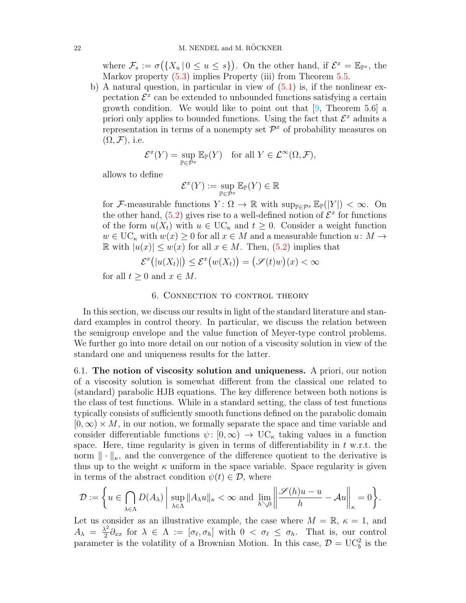where  $\mathcal{F}_s := \sigma\big(\{X_u \mid 0 \le u \le s\}\big)$ . On the other hand, if  $\mathcal{E}^x = \mathbb{E}_{\mathbb{P}^x}$ , the Markov property  $(5.3)$  implies Property (iii) from Theorem [5.5.](#page-20-0)

b) A natural question, in particular in view of  $(5.1)$  is, if the nonlinear expectation  $\mathcal{E}^x$  can be extended to unbounded functions satisfying a certain growth condition. We would like to point out that  $[9,$  Theorem 5.6 a priori only applies to bounded functions. Using the fact that  $\mathcal{E}^x$  admits a representation in terms of a nonempty set  $\mathcal{P}^x$  of probability measures on  $(\Omega, \mathcal{F})$ , i.e.

$$
\mathcal{E}^x(Y) = \sup_{\mathbb{P}\in\mathcal{P}^x} \mathbb{E}_{\mathbb{P}}(Y) \quad \text{for all } Y \in \mathcal{L}^\infty(\Omega, \mathcal{F}),
$$

allows to define

$$
\mathcal{E}^x(Y) := \sup_{\mathbb{P} \in \mathcal{P}^x} \mathbb{E}_{\mathbb{P}}(Y) \in \mathbb{R}
$$

for F-measurable functions  $Y: \Omega \to \mathbb{R}$  with  $\sup_{\mathbb{P}\in \mathcal{P}^x} \mathbb{E}_{\mathbb{P}}(|Y|) < \infty$ . On the other hand,  $(5.2)$  gives rise to a well-defined notion of  $\mathcal{E}^x$  for functions of the form  $u(X_t)$  with  $u \in \mathrm{UC}_\kappa$  and  $t \geq 0$ . Consider a weight function  $w \in \mathrm{UC}_{\kappa}$  with  $w(x) \geq 0$  for all  $x \in M$  and a measurable function  $u: M \to$ R with  $|u(x)|$  ≤  $w(x)$  for all  $x \in M$ . Then, [\(5.2\)](#page-20-3) implies that

$$
\mathcal{E}^x(|u(X_t)|) \le \mathcal{E}^x\big(w(X_t)\big) = \big(\mathcal{S}(t)w\big)(x) < \infty
$$

for all  $t > 0$  and  $x \in M$ .

# 6. Connection to control theory

<span id="page-21-0"></span>In this section, we discuss our results in light of the standard literature and standard examples in control theory. In particular, we discuss the relation between the semigroup envelope and the value function of Meyer-type control problems. We further go into more detail on our notion of a viscosity solution in view of the standard one and uniqueness results for the latter.

<span id="page-21-1"></span>6.1. The notion of viscosity solution and uniqueness. A priori, our notion of a viscosity solution is somewhat different from the classical one related to (standard) parabolic HJB equations. The key difference between both notions is the class of test functions. While in a standard setting, the class of test functions typically consists of sufficiently smooth functions defined on the parabolic domain  $[0,\infty) \times M$ , in our notion, we formally separate the space and time variable and consider differentiable functions  $\psi: [0,\infty) \to \mathbb{U}C_{\kappa}$  taking values in a function space. Here, time regularity is given in terms of differentiability in  $t$  w.r.t. the norm  $\|\cdot\|_{\kappa}$ , and the convergence of the difference quotient to the derivative is thus up to the weight  $\kappa$  uniform in the space variable. Space regularity is given in terms of the abstract condition  $\psi(t) \in \mathcal{D}$ , where

$$
\mathcal{D} := \left\{ u \in \bigcap_{\lambda \in \Lambda} D(A_{\lambda}) \, \middle| \, \sup_{\lambda \in \Lambda} \|A_{\lambda} u\|_{\kappa} < \infty \text{ and } \lim_{h \searrow 0} \left\| \frac{\mathscr{S}(h) u - u}{h} - \mathcal{A} u \right\|_{\kappa} = 0 \right\}.
$$

Let us consider as an illustrative example, the case where  $M = \mathbb{R}, \kappa = 1$ , and  $A_{\lambda} = \frac{\lambda^2}{2}$  $\frac{\partial^2}{\partial x^2} \partial_{xx}$  for  $\lambda \in \Lambda := [\sigma_{\ell}, \sigma_h]$  with  $0 < \sigma_{\ell} \leq \sigma_h$ . That is, our control parameter is the volatility of a Brownian Motion. In this case,  $\mathcal{D} = \mathbf{UC}_{b}^{2}$  is the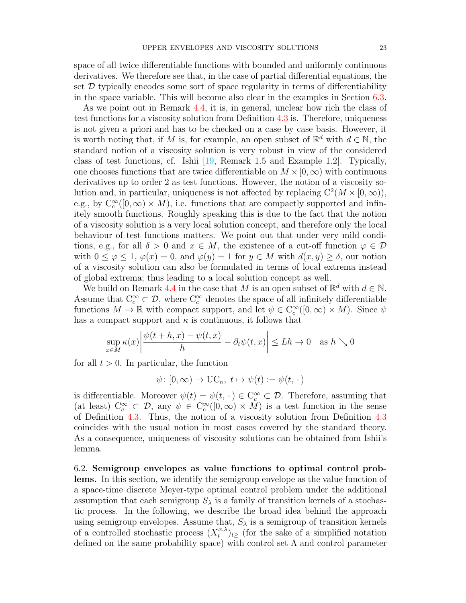space of all twice differentiable functions with bounded and uniformly continuous derivatives. We therefore see that, in the case of partial differential equations, the set  $D$  typically encodes some sort of space regularity in terms of differentiability in the space variable. This will become also clear in the examples in Section [6.3.](#page-24-0)

As we point out in Remark [4.4,](#page-16-1) it is, in general, unclear how rich the class of test functions for a viscosity solution from Definition [4.3](#page-16-2) is. Therefore, uniqueness is not given a priori and has to be checked on a case by case basis. However, it is worth noting that, if M is, for example, an open subset of  $\mathbb{R}^d$  with  $d \in \mathbb{N}$ , the standard notion of a viscosity solution is very robust in view of the considered class of test functions, cf. Ishii [\[19,](#page-32-18) Remark 1.5 and Example 1.2]. Typically, one chooses functions that are twice differentiable on  $M \times [0,\infty)$  with continuous derivatives up to order 2 as test functions. However, the notion of a viscosity solution and, in particular, uniqueness is not affected by replacing  $C^2(M \times [0,\infty))$ , e.g., by  $C_c^{\infty}([0,\infty) \times M)$ , i.e. functions that are compactly supported and infinitely smooth functions. Roughly speaking this is due to the fact that the notion of a viscosity solution is a very local solution concept, and therefore only the local behaviour of test functions matters. We point out that under very mild conditions, e.g., for all  $\delta > 0$  and  $x \in M$ , the existence of a cut-off function  $\varphi \in \mathcal{D}$ with  $0 \leq \varphi \leq 1$ ,  $\varphi(x) = 0$ , and  $\varphi(y) = 1$  for  $y \in M$  with  $d(x, y) \geq \delta$ , our notion of a viscosity solution can also be formulated in terms of local extrema instead of global extrema; thus leading to a local solution concept as well.

We build on Remark [4.4](#page-16-1) in the case that M is an open subset of  $\mathbb{R}^d$  with  $d \in \mathbb{N}$ . Assume that  $C_c^{\infty} \subset \mathcal{D}$ , where  $C_c^{\infty}$  denotes the space of all infinitely differentiable functions  $M \to \mathbb{R}$  with compact support, and let  $\psi \in C_c^{\infty}([0,\infty) \times M)$ . Since  $\psi$ has a compact support and  $\kappa$  is continuous, it follows that

$$
\sup_{x \in M} \kappa(x) \left| \frac{\psi(t+h, x) - \psi(t, x)}{h} - \partial_t \psi(t, x) \right| \le Lh \to 0 \quad \text{as } h \searrow 0
$$

for all  $t > 0$ . In particular, the function

$$
\psi \colon [0, \infty) \to \mathrm{UC}_{\kappa}, \ t \mapsto \psi(t) := \psi(t, \cdot)
$$

is differentiable. Moreover  $\psi(t) = \psi(t, \cdot) \in C_c^{\infty} \subset \mathcal{D}$ . Therefore, assuming that (at least)  $C_c^{\infty} \subset \mathcal{D}$ , any  $\psi \in C_c^{\infty}([0,\infty) \times M)$  is a test function in the sense of Definition [4.3.](#page-16-2) Thus, the notion of a viscosity solution from Definition [4.3](#page-16-2) coincides with the usual notion in most cases covered by the standard theory. As a consequence, uniqueness of viscosity solutions can be obtained from Ishii's lemma.

6.2. Semigroup envelopes as value functions to optimal control problems. In this section, we identify the semigroup envelope as the value function of a space-time discrete Meyer-type optimal control problem under the additional assumption that each semigroup  $S_\lambda$  is a family of transition kernels of a stochastic process. In the following, we describe the broad idea behind the approach using semigroup envelopes. Assume that,  $S_{\lambda}$  is a semigroup of transition kernels of a controlled stochastic process  $(X_t^{x,\lambda})$  $(t^{x,\lambda})_{t\geq 0}$  (for the sake of a simplified notation defined on the same probability space) with control set  $\Lambda$  and control parameter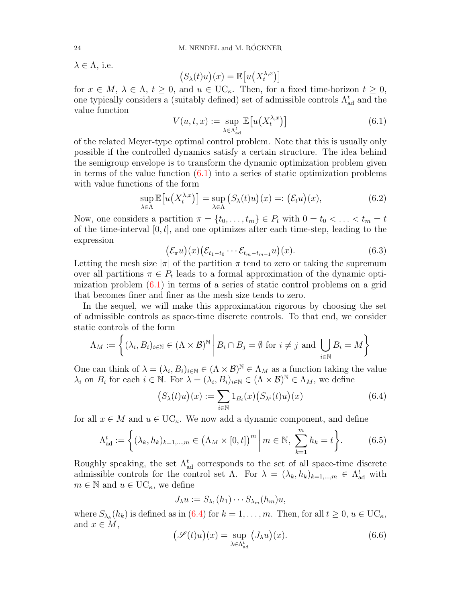$\lambda \in \Lambda$ , i.e.

$$
(S_{\lambda}(t)u)(x) = \mathbb{E}\big[u\big(X_t^{\lambda,x}\big)\big]
$$

for  $x \in M$ ,  $\lambda \in \Lambda$ ,  $t \geq 0$ , and  $u \in \mathrm{UC}_{\kappa}$ . Then, for a fixed time-horizon  $t \geq 0$ , one typically considers a (suitably defined) set of admissible controls  $\Lambda^t_\text{ad}$  and the value function

<span id="page-23-0"></span>
$$
V(u,t,x) := \sup_{\lambda \in \Lambda_{\rm ad}^t} \mathbb{E}\big[u\big(X_t^{\lambda,x}\big)\big] \tag{6.1}
$$

of the related Meyer-type optimal control problem. Note that this is usually only possible if the controlled dynamics satisfy a certain structure. The idea behind the semigroup envelope is to transform the dynamic optimization problem given in terms of the value function  $(6.1)$  into a series of static optimization problems with value functions of the form

$$
\sup_{\lambda \in \Lambda} \mathbb{E}\big[u\big(X_t^{\lambda,x}\big)\big] = \sup_{\lambda \in \Lambda} \big(S_\lambda(t)u\big)(x) =: \big(\mathcal{E}_t u\big)(x),\tag{6.2}
$$

Now, one considers a partition  $\pi = \{t_0, \ldots, t_m\} \in P_t$  with  $0 = t_0 < \ldots < t_m = t$ of the time-interval  $[0, t]$ , and one optimizes after each time-step, leading to the expression

$$
(\mathcal{E}_{\pi}u)(x)(\mathcal{E}_{t_1-t_0}\cdots \mathcal{E}_{t_m-t_{m-1}}u)(x).
$$
 (6.3)

Letting the mesh size  $|\pi|$  of the partition  $\pi$  tend to zero or taking the supremum over all partitions  $\pi \in P_t$  leads to a formal approximation of the dynamic optimization problem  $(6.1)$  in terms of a series of static control problems on a grid that becomes finer and finer as the mesh size tends to zero.

In the sequel, we will make this approximation rigorous by choosing the set of admissible controls as space-time discrete controls. To that end, we consider static controls of the form

$$
\Lambda_M := \left\{ (\lambda_i, B_i)_{i \in \mathbb{N}} \in (\Lambda \times \mathcal{B})^{\mathbb{N}} \middle| B_i \cap B_j = \emptyset \text{ for } i \neq j \text{ and } \bigcup_{i \in \mathbb{N}} B_i = M \right\}
$$

One can think of  $\lambda = (\lambda_i, B_i)_{i \in \mathbb{N}} \in (\Lambda \times \mathcal{B})^{\mathbb{N}} \in \Lambda_M$  as a function taking the value  $\lambda_i$  on  $B_i$  for each  $i \in \mathbb{N}$ . For  $\lambda = (\lambda_i, B_i)_{i \in \mathbb{N}} \in (\Lambda \times \mathcal{B})^{\mathbb{N}} \in \Lambda_M$ , we define

<span id="page-23-1"></span>
$$
(S_{\lambda}(t)u)(x) := \sum_{i \in \mathbb{N}} 1_{B_i}(x) (S_{\lambda^i}(t)u)(x) \tag{6.4}
$$

for all  $x \in M$  and  $u \in \mathrm{UC}_{\kappa}$ . We now add a dynamic component, and define

<span id="page-23-2"></span>
$$
\Lambda_{\text{ad}}^t := \left\{ (\lambda_k, h_k)_{k=1,\dots,m} \in \left( \Lambda_M \times [0, t] \right)^m \middle| m \in \mathbb{N}, \sum_{k=1}^m h_k = t \right\}.
$$
 (6.5)

Roughly speaking, the set  $\Lambda_{ad}^{t}$  corresponds to the set of all space-time discrete admissible controls for the control set  $\Lambda$ . For  $\lambda = (\lambda_k, h_k)_{k=1,\dots,m} \in \Lambda_{ad}^t$  with  $m \in \mathbb{N}$  and  $u \in \mathrm{UC}_{\kappa}$ , we define

$$
J_{\lambda}u := S_{\lambda_1}(h_1) \cdots S_{\lambda_m}(h_m)u,
$$

where  $S_{\lambda_k}(h_k)$  is defined as in [\(6.4\)](#page-23-1) for  $k = 1, \ldots, m$ . Then, for all  $t \geq 0, u \in \mathrm{UC}_{\kappa}$ , and  $x \in M$ ,

$$
\left(\mathscr{S}(t)u\right)(x) = \sup_{\lambda \in \Lambda_{\text{ad}}^t} \left( J_\lambda u\right)(x). \tag{6.6}
$$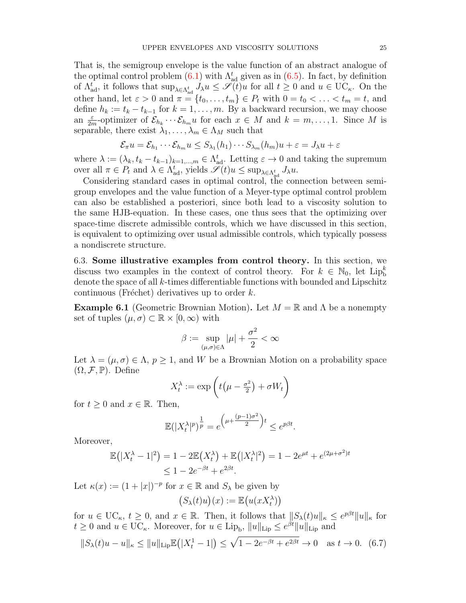That is, the semigroup envelope is the value function of an abstract analogue of the optimal control problem  $(6.1)$  with  $\Lambda_{ad}^{t}$  given as in  $(6.5)$ . In fact, by definition of  $\Lambda_{\text{ad}}^t$ , it follows that  $\sup_{\lambda \in \Lambda_{\text{ad}}^t} J_\lambda u \leq \mathscr{S}(t)u$  for all  $t \geq 0$  and  $u \in \text{UC}_{\kappa}$ . On the other hand, let  $\varepsilon > 0$  and  $\pi = \{t_0, \ldots, t_m\} \in P_t$  with  $0 = t_0 < \ldots < t_m = t$ , and define  $h_k := t_k - t_{k-1}$  for  $k = 1, ..., m$ . By a backward recursion, we may choose an  $\frac{\varepsilon}{2m}$ -optimizer of  $\mathcal{E}_{h_k} \cdots \mathcal{E}_{h_m} u$  for each  $x \in M$  and  $k = m, \ldots, 1$ . Since M is separable, there exist  $\lambda_1, \ldots, \lambda_m \in \Lambda_M$  such that

$$
\mathcal{E}_{\pi}u = \mathcal{E}_{h_1} \cdots \mathcal{E}_{h_m} u \leq S_{\lambda_1}(h_1) \cdots S_{\lambda_m}(h_m)u + \varepsilon = J_{\lambda}u + \varepsilon
$$

where  $\lambda := (\lambda_k, t_k - t_{k-1})_{k=1,\dots,m} \in \Lambda_{ad}^t$ . Letting  $\varepsilon \to 0$  and taking the supremum over all  $\pi \in P_t$  and  $\lambda \in \Lambda_{ad}^t$ , yields  $\mathscr{S}(t)u \le \sup_{\lambda \in \Lambda_{ad}^t} J_{\lambda}u$ .

Considering standard cases in optimal control, the connection between semigroup envelopes and the value function of a Meyer-type optimal control problem can also be established a posteriori, since both lead to a viscosity solution to the same HJB-equation. In these cases, one thus sees that the optimizing over space-time discrete admissible controls, which we have discussed in this section, is equivalent to optimizing over usual admissible controls, which typically possess a nondiscrete structure.

<span id="page-24-0"></span>6.3. Some illustrative examples from control theory. In this section, we discuss two examples in the context of control theory. For  $k \in \mathbb{N}_0$ , let  $\text{Lip}_b^k$ denote the space of all k-times differentiable functions with bounded and Lipschitz continuous (Fréchet) derivatives up to order  $k$ .

**Example 6.1** (Geometric Brownian Motion). Let  $M = \mathbb{R}$  and  $\Lambda$  be a nonempty set of tuples  $(\mu, \sigma) \subset \mathbb{R} \times [0, \infty)$  with

$$
\beta:=\sup_{(\mu,\sigma)\in\Lambda}|\mu|+\frac{\sigma^2}{2}<\infty
$$

Let  $\lambda = (\mu, \sigma) \in \Lambda$ ,  $p \geq 1$ , and W be a Brownian Motion on a probability space  $(\Omega, \mathcal{F}, \mathbb{P})$ . Define

$$
X_t^{\lambda} := \exp\left(t\left(\mu - \frac{\sigma^2}{2}\right) + \sigma W_t\right)
$$

for  $t \geq 0$  and  $x \in \mathbb{R}$ . Then,

$$
\mathbb{E}(|X_t^{\lambda}|^p)^{\frac{1}{p}} = e^{\left(\mu + \frac{(p-1)\sigma^2}{2}\right)t} \le e^{p\beta t}.
$$

Moreover,

$$
\mathbb{E}(|X_t^{\lambda} - 1|^2) = 1 - 2\mathbb{E}(X_t^{\lambda}) + \mathbb{E}(|X_t^{\lambda}|^2) = 1 - 2e^{\mu t} + e^{(2\mu + \sigma^2)t} \le 1 - 2e^{-\beta t} + e^{2\beta t}.
$$

Let  $\kappa(x) := (1+|x|)^{-p}$  for  $x \in \mathbb{R}$  and  $S_\lambda$  be given by

$$
\big(S_\lambda(t)u\big)(x):=\mathbb{E}\big(u(xX_t^\lambda)\big)
$$

for  $u \in \mathrm{UC}_{\kappa}, t \geq 0$ , and  $x \in \mathbb{R}$ . Then, it follows that  $||S_{\lambda}(t)u||_{\kappa} \leq e^{p\beta t}||u||_{\kappa}$  for  $t \geq 0$  and  $u \in \text{UC}_{\kappa}$ . Moreover, for  $u \in \text{Lip}_{\text{b}}$ ,  $||u||_{\text{Lip}} \leq e^{\beta t}||u||_{\text{Lip}}$  and

<span id="page-24-1"></span>
$$
||S_{\lambda}(t)u - u||_{\kappa} \le ||u||_{\text{Lip}} \mathbb{E}(|X_t^1 - 1|) \le \sqrt{1 - 2e^{-\beta t} + e^{2\beta t}} \to 0 \quad \text{as } t \to 0. \tag{6.7}
$$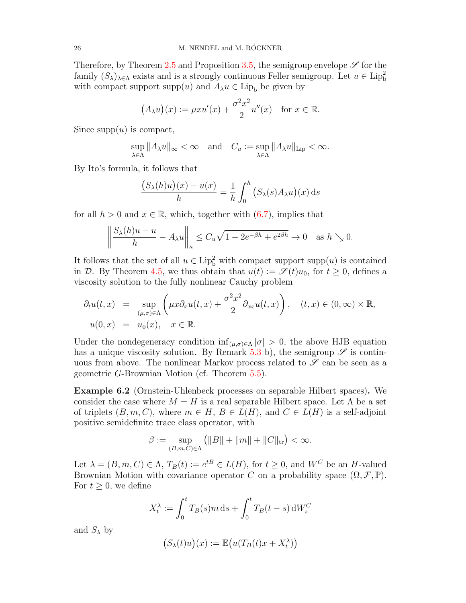Therefore, by Theorem [2.5](#page-8-0) and Proposition [3.5,](#page-12-0) the semigroup envelope  $\mathscr S$  for the family  $(S_{\lambda})_{\lambda \in \Lambda}$  exists and is a strongly continuous Feller semigroup. Let  $u \in \text{Lip}_b^2$ with compact support supp $(u)$  and  $A_{\lambda}u \in \text{Lip}_{b}$  be given by

$$
(A_{\lambda}u)(x) := \mu x u'(x) + \frac{\sigma^2 x^2}{2} u''(x) \quad \text{for } x \in \mathbb{R}.
$$

Since  $supp(u)$  is compact,

$$
\sup_{\lambda \in \Lambda} ||A_{\lambda} u||_{\infty} < \infty \quad \text{and} \quad C_{u} := \sup_{\lambda \in \Lambda} ||A_{\lambda} u||_{\text{Lip}} < \infty.
$$

By Ito's formula, it follows that

$$
\frac{(S_{\lambda}(h)u)(x) - u(x)}{h} = \frac{1}{h} \int_0^h (S_{\lambda}(s)A_{\lambda}u)(x) \, ds
$$

for all  $h > 0$  and  $x \in \mathbb{R}$ , which, together with  $(6.7)$ , implies that

$$
\left\|\frac{S_{\lambda}(h)u - u}{h} - A_{\lambda}u\right\|_{\kappa} \le C_{u}\sqrt{1 - 2e^{-\beta h} + e^{2\beta h}} \to 0 \quad \text{as } h \searrow 0.
$$

It follows that the set of all  $u \in \text{Lip}_b^2$  with compact support supp $(u)$  is contained in D. By Theorem [4.5,](#page-17-0) we thus obtain that  $u(t) := \mathscr{S}(t)u_0$ , for  $t \geq 0$ , defines a viscosity solution to the fully nonlinear Cauchy problem

$$
\partial_t u(t,x) = \sup_{(\mu,\sigma)\in\Lambda} \left( \mu x \partial_x u(t,x) + \frac{\sigma^2 x^2}{2} \partial_{xx} u(t,x) \right), \quad (t,x) \in (0,\infty) \times \mathbb{R},
$$
  

$$
u(0,x) = u_0(x), \quad x \in \mathbb{R}.
$$

Under the nondegeneracy condition  $\inf_{(\mu,\sigma)\in\Lambda} |\sigma| > 0$ , the above HJB equation has a unique viscosity solution. By Remark [5.3](#page-18-0) b), the semigroup  $\mathscr S$  is continuous from above. The nonlinear Markov process related to  $\mathscr S$  can be seen as a geometric G-Brownian Motion (cf. Theorem [5.5\)](#page-20-0).

<span id="page-25-0"></span>Example 6.2 (Ornstein-Uhlenbeck processes on separable Hilbert spaces). We consider the case where  $M = H$  is a real separable Hilbert space. Let  $\Lambda$  be a set of triplets  $(B, m, C)$ , where  $m \in H$ ,  $B \in L(H)$ , and  $C \in L(H)$  is a self-adjoint positive semidefinite trace class operator, with

$$
\beta := \sup_{(B,m,C)\in\Lambda} \left( \|B\| + \|m\| + \|C\|_{\text{tr}} \right) < \infty.
$$

Let  $\lambda = (B, m, C) \in \Lambda$ ,  $T_B(t) := e^{tB} \in L(H)$ , for  $t \geq 0$ , and  $W^C$  be an H-valued Brownian Motion with covariance operator C on a probability space  $(\Omega, \mathcal{F}, \mathbb{P})$ . For  $t \geq 0$ , we define

$$
X_t^{\lambda} := \int_0^t T_B(s)m \, ds + \int_0^t T_B(t-s) \, dW_s^C
$$

and  $S_{\lambda}$  by

$$
(S_{\lambda}(t)u)(x) := \mathbb{E}\big(u(T_B(t)x + X_t^{\lambda})\big)
$$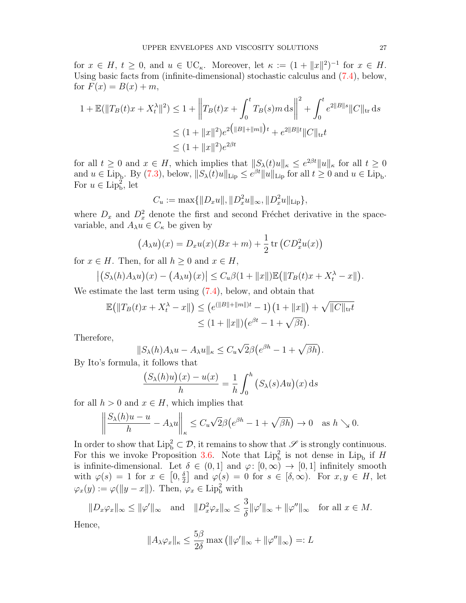for  $x \in H$ ,  $t \geq 0$ , and  $u \in \mathrm{UC}_{\kappa}$ . Moreover, let  $\kappa := (1 + ||x||^2)^{-1}$  for  $x \in H$ . Using basic facts from (infinite-dimensional) stochastic calculus and [\(7.4\)](#page-27-1), below, for  $F(x) = B(x) + m$ ,

$$
1 + \mathbb{E}(\|T_B(t)x + X_t^{\lambda}\|^2) \le 1 + \left\|T_B(t)x + \int_0^t T_B(s)m \, ds\right\|^2 + \int_0^t e^{2\|B\|s} \|C\|_{\text{tr}} \, ds
$$
  

$$
\le (1 + \|x\|^2) e^{2(\|B\| + \|m\|)t} + e^{2\|B\|t} \|C\|_{\text{tr}} t
$$
  

$$
\le (1 + \|x\|^2) e^{2\beta t}
$$

for all  $t \geq 0$  and  $x \in H$ , which implies that  $||S_\lambda(t)u||_\kappa \leq e^{2\beta t}||u||_\kappa$  for all  $t \geq 0$ and  $u \in \text{Lip}_b$ . By [\(7.3\)](#page-27-2), below,  $||S_\lambda(t)u||_{\text{Lip}} \leq e^{\beta t}||u||_{\text{Lip}}$  for all  $t \geq 0$  and  $u \in \text{Lip}_b$ . For  $u \in \text{Lip}_b^2$ , let

$$
C_u := \max\{\|D_x u\|, \|D_x^2 u\|_{\infty}, \|D_x^2 u\|_{\text{Lip}}\},\
$$

where  $D_x$  and  $D_x^2$  denote the first and second Fréchet derivative in the spacevariable, and  $A_{\lambda}u \in C_{\kappa}$  be given by

$$
(A_{\lambda}u)(x) = D_xu(x)(Bx + m) + \frac{1}{2}\operatorname{tr}(CD_x^2u(x))
$$

for  $x \in H$ . Then, for all  $h \geq 0$  and  $x \in H$ ,

$$
\left| \left( S_{\lambda}(h) A_{\lambda} u \right)(x) - \left( A_{\lambda} u \right)(x) \right| \leq C_u \beta \left( 1 + \|x\| \right) \mathbb{E} \left( \|T_B(t)x + X_t^{\lambda} - x\| \right).
$$

We estimate the last term using  $(7.4)$ , below, and obtain that

$$
\mathbb{E}(|T_B(t)x + X_t^{\lambda} - x|) \le (e^{(\|B\| + \|m\|)t} - 1)(1 + \|x\|) + \sqrt{\|C\|_{\text{tr}}t}
$$
  

$$
\le (1 + \|x\|)(e^{\beta t} - 1 + \sqrt{\beta t}).
$$

Therefore,

$$
||S_{\lambda}(h)A_{\lambda}u - A_{\lambda}u||_{\kappa} \leq C_u\sqrt{2}\beta\big(e^{\beta h} - 1 + \sqrt{\beta h}\big).
$$

By Ito's formula, it follows that

$$
\frac{(S_{\lambda}(h)u)(x) - u(x)}{h} = \frac{1}{h} \int_0^h (S_{\lambda}(s)Au)(x) \, ds
$$

for all  $h > 0$  and  $x \in H$ , which implies that

$$
\left\|\frac{S_{\lambda}(h)u - u}{h} - A_{\lambda}u\right\|_{\kappa} \le C_{u}\sqrt{2}\beta\big(e^{\beta h} - 1 + \sqrt{\beta h}\big) \to 0 \quad \text{as } h \searrow 0.
$$

In order to show that  $\text{Lip}_b^2 \subset \mathcal{D}$ , it remains to show that  $\mathscr S$  is strongly continuous. For this we invoke Proposition [3.6.](#page-13-0) Note that  $\text{Lip}_b^2$  is not dense in  $\text{Lip}_b$  if H is infinite-dimensional. Let  $\delta \in (0,1]$  and  $\varphi: [0,\infty) \to [0,1]$  infinitely smooth with  $\varphi(s) = 1$  for  $x \in [0, \frac{\delta}{2}]$  $\frac{\delta}{2}$  and  $\varphi(s) = 0$  for  $s \in [\delta, \infty)$ . For  $x, y \in H$ , let  $\varphi_x(y) := \varphi(\|y - x\|)$ . Then,  $\varphi_x \in \text{Lip}_b^2$  with

$$
||D_x\varphi_x||_{\infty} \le ||\varphi'||_{\infty} \quad \text{and} \quad ||D_x^2\varphi_x||_{\infty} \le \frac{3}{\delta} ||\varphi'||_{\infty} + ||\varphi''||_{\infty} \quad \text{for all } x \in M.
$$

Hence,

$$
||A_{\lambda}\varphi_x||_{\kappa} \le \frac{5\beta}{2\delta} \max \left( ||\varphi'||_{\infty} + ||\varphi''||_{\infty} \right) =: L
$$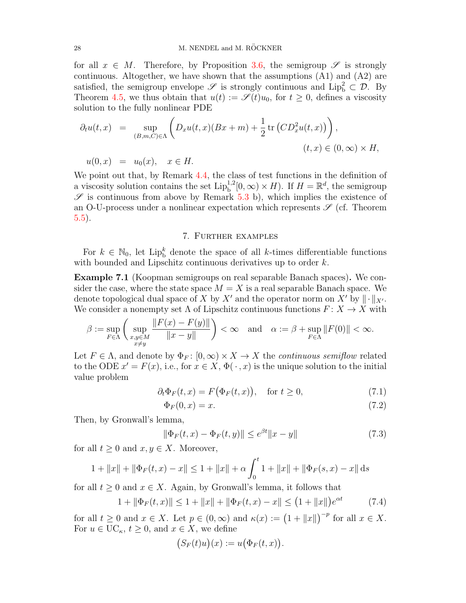for all  $x \in M$ . Therefore, by Proposition [3.6,](#page-13-0) the semigroup  $\mathscr{S}$  is strongly continuous. Altogether, we have shown that the assumptions (A1) and (A2) are satisfied, the semigroup envelope  $\mathscr S$  is strongly continuous and  $\text{Lip}_b^2 \subset \mathcal D$ . By Theorem [4.5,](#page-17-0) we thus obtain that  $u(t) := \mathscr{S}(t)u_0$ , for  $t \geq 0$ , defines a viscosity solution to the fully nonlinear PDE

$$
\partial_t u(t,x) = \sup_{(B,m,C)\in\Lambda} \left( D_x u(t,x) (Bx+m) + \frac{1}{2} \operatorname{tr} (CD_x^2 u(t,x)) \right),
$$
  

$$
u(0,x) = u_0(x), \quad x \in H.
$$
  
(t,x) \in (0,\infty) \times H,

We point out that, by Remark [4.4,](#page-16-1) the class of test functions in the definition of a viscosity solution contains the set  $\text{Lip}_{\text{b}}^{1,2}[0,\infty) \times H$ . If  $H = \mathbb{R}^d$ , the semigroup  $\mathscr S$  is continuous from above by Remark [5.3](#page-18-0) b), which implies the existence of an O-U-process under a nonlinear expectation which represents  $\mathscr{S}$  (cf. Theorem [5.5\)](#page-20-0).

# 7. Further examples

<span id="page-27-0"></span>For  $k \in \mathbb{N}_0$ , let Lip<sup>k</sup> denote the space of all k-times differentiable functions with bounded and Lipschitz continuous derivatives up to order  $k$ .

Example 7.1 (Koopman semigroups on real separable Banach spaces). We consider the case, where the state space  $M = X$  is a real separable Banach space. We denote topological dual space of X by X' and the operator norm on X' by  $\|\cdot\|_{X}$ . We consider a nonempty set  $\Lambda$  of Lipschitz continuous functions  $F: X \to X$  with

$$
\beta := \sup_{F \in \Lambda} \left( \sup_{\substack{x,y \in M \\ x \neq y}} \frac{\|F(x) - F(y)\|}{\|x - y\|} \right) < \infty \quad \text{and} \quad \alpha := \beta + \sup_{F \in \Lambda} \|F(0)\| < \infty.
$$

Let  $F \in \Lambda$ , and denote by  $\Phi_F : [0, \infty) \times X \to X$  the *continuous semiflow* related to the ODE  $x' = F(x)$ , i.e., for  $x \in X$ ,  $\Phi(\cdot, x)$  is the unique solution to the initial value problem

$$
\partial_t \Phi_F(t, x) = F(\Phi_F(t, x)), \quad \text{for } t \ge 0,
$$
\n(7.1)

$$
\Phi_F(0, x) = x. \tag{7.2}
$$

Then, by Gronwall's lemma,

<span id="page-27-2"></span>
$$
\|\Phi_F(t,x) - \Phi_F(t,y)\| \le e^{\beta t} \|x - y\| \tag{7.3}
$$

for all  $t \geq 0$  and  $x, y \in X$ . Moreover,

$$
1 + ||x|| + ||\Phi_F(t, x) - x|| \le 1 + ||x|| + \alpha \int_0^t 1 + ||x|| + ||\Phi_F(s, x) - x|| \, ds
$$

for all  $t > 0$  and  $x \in X$ . Again, by Gronwall's lemma, it follows that

<span id="page-27-1"></span>
$$
1 + \|\Phi_F(t, x)\| \le 1 + \|x\| + \|\Phi_F(t, x) - x\| \le \left(1 + \|x\|\right)e^{\alpha t} \tag{7.4}
$$

for all  $t \geq 0$  and  $x \in X$ . Let  $p \in (0, \infty)$  and  $\kappa(x) := (1 + ||x||)^{-p}$  for all  $x \in X$ . For  $u \in \mathrm{UC}_{\kappa}, t \geq 0$ , and  $x \in X$ , we define

$$
(S_F(t)u)(x) := u(\Phi_F(t,x)).
$$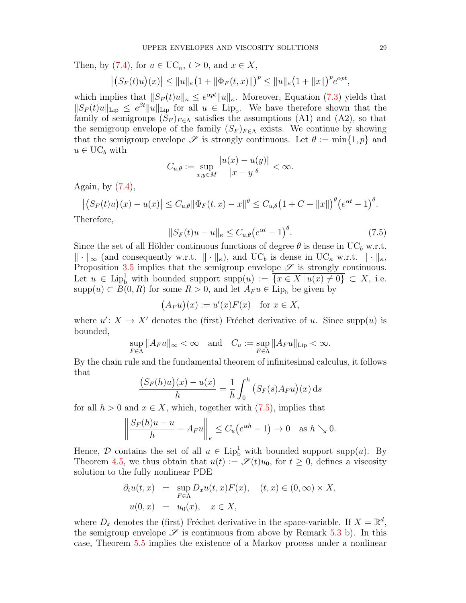Then, by [\(7.4\)](#page-27-1), for  $u \in \mathrm{UC}_{\kappa}, t \geq 0$ , and  $x \in X$ ,

$$
|(S_F(t)u)(x)| \le ||u||_{\kappa} (1 + ||\Phi_F(t,x)||)^p \le ||u||_{\kappa} (1 + ||x||)^p e^{\alpha pt},
$$

which implies that  $||S_F(t)u||_{\kappa} \leq e^{\alpha pt}||u||_{\kappa}$ . Moreover, Equation [\(7.3\)](#page-27-2) yields that  $||S_F(t)u||_{\text{Lip}} \leq e^{\beta t}||u||_{\text{Lip}}$  for all  $u \in \text{Lip}_b$ . We have therefore shown that the family of semigroups  $(S_F)_{F \in \Lambda}$  satisfies the assumptions (A1) and (A2), so that the semigroup envelope of the family  $(S_F)_{F \in \Lambda}$  exists. We continue by showing that the semigroup envelope  $\mathscr S$  is strongly continuous. Let  $\theta := \min\{1, p\}$  and  $u \in \mathrm{UC}_b$  with

$$
C_{u,\theta} := \sup_{x,y \in M} \frac{|u(x) - u(y)|}{|x - y|^{\theta}} < \infty.
$$

Again, by [\(7.4\)](#page-27-1),

$$
\left| (S_F(t)u)(x) - u(x) \right| \le C_{u,\theta} \|\Phi_F(t,x) - x\|^{\theta} \le C_{u,\theta} \left( 1 + C + \|x\| \right)^{\theta} \left( e^{\alpha t} - 1 \right)^{\theta}.
$$

Therefore,

<span id="page-28-0"></span>
$$
||S_F(t)u - u||_{\kappa} \le C_{u,\theta} \left(e^{\alpha t} - 1\right)^{\theta}.
$$
\n(7.5)

Since the set of all Hölder continuous functions of degree  $\theta$  is dense in UC<sub>b</sub> w.r.t.  $\|\cdot\|_{\infty}$  (and consequently w.r.t.  $\|\cdot\|_{\kappa}$ ), and UC<sub>b</sub> is dense in UC<sub>k</sub> w.r.t.  $\|\cdot\|_{\kappa}$ , Proposition [3.5](#page-12-0) implies that the semigroup envelope  $\mathscr S$  is strongly continuous. Let  $u \in \text{Lip}_b^1$  with bounded support  $\text{supp}(u) := \overline{\{x \in X \mid u(x) \neq 0\}} \subset X$ , i.e.  $\text{supp}(u) \subset B(0, R)$  for some  $R > 0$ , and let  $A_F u \in \text{Lip}_b$  be given by

$$
(A_F u)(x) := u'(x)F(x) \text{ for } x \in X,
$$

where  $u' : X \to X'$  denotes the (first) Fréchet derivative of u. Since supp(u) is bounded,

$$
\sup_{F \in \Lambda} \|A_F u\|_{\infty} < \infty \quad \text{and} \quad C_u := \sup_{F \in \Lambda} \|A_F u\|_{\text{Lip}} < \infty.
$$

By the chain rule and the fundamental theorem of infinitesimal calculus, it follows that

$$
\frac{(S_F(h)u)(x) - u(x)}{h} = \frac{1}{h} \int_0^h (S_F(s)A_F u)(x) \, ds
$$

for all  $h > 0$  and  $x \in X$ , which, together with  $(7.5)$ , implies that

$$
\left\|\frac{S_F(h)u - u}{h} - A_F u\right\|_{\kappa} \le C_u \left(e^{\alpha h} - 1\right) \to 0 \quad \text{as } h \searrow 0.
$$

Hence,  $\mathcal D$  contains the set of all  $u \in \text{Lip}_b^1$  with bounded support supp $(u)$ . By Theorem [4.5,](#page-17-0) we thus obtain that  $u(t) := \mathscr{S}(t)u_0$ , for  $t \geq 0$ , defines a viscosity solution to the fully nonlinear PDE

$$
\partial_t u(t, x) = \sup_{F \in \Lambda} D_x u(t, x) F(x), \quad (t, x) \in (0, \infty) \times X,
$$
  

$$
u(0, x) = u_0(x), \quad x \in X,
$$

where  $D_x$  denotes the (first) Fréchet derivative in the space-variable. If  $X = \mathbb{R}^d$ , the semigroup envelope  $\mathscr S$  is continuous from above by Remark [5.3](#page-18-0) b). In this case, Theorem [5.5](#page-20-0) implies the existence of a Markov process under a nonlinear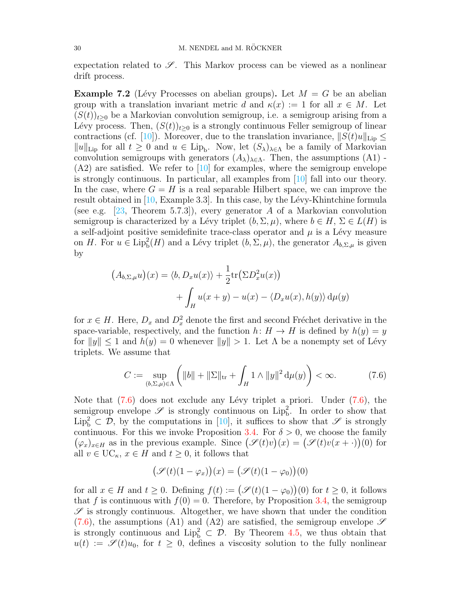expectation related to  $\mathscr{S}$ . This Markov process can be viewed as a nonlinear drift process.

**Example 7.2** (Lévy Processes on abelian groups). Let  $M = G$  be an abelian group with a translation invariant metric d and  $\kappa(x) := 1$  for all  $x \in M$ . Let  $(S(t))_{t\geq0}$  be a Markovian convolution semigroup, i.e. a semigroup arising from a Lévy process. Then,  $(S(t))_{t\geq0}$  is a strongly continuous Feller semigroup of linear contractions (cf. [\[10\]](#page-31-1)). Moreover, due to the translation invariance,  $||S(t)u||_{\text{Lip}} \leq$  $||u||_{\text{Lip}}$  for all  $t \geq 0$  and  $u \in \text{Lip}_b$ . Now, let  $(S_{\lambda})_{\lambda \in \Lambda}$  be a family of Markovian convolution semigroups with generators  $(A_{\lambda})_{\lambda \in \Lambda}$ . Then, the assumptions  $(A1)$  - $(A2)$  are satisfied. We refer to  $[10]$  for examples, where the semigroup envelope is strongly continuous. In particular, all examples from [\[10\]](#page-31-1) fall into our theory. In the case, where  $G = H$  is a real separable Hilbert space, we can improve the result obtained in  $[10, \text{Example } 3.3]$  $[10, \text{Example } 3.3]$ . In this case, by the Lévy-Khintchine formula (see e.g. [\[23,](#page-32-19) Theorem 5.7.3]), every generator A of a Markovian convolution semigroup is characterized by a Lévy triplet  $(b, \Sigma, \mu)$ , where  $b \in H$ ,  $\Sigma \in L(H)$  is a self-adjoint positive semidefinite trace-class operator and  $\mu$  is a Lévy measure on H. For  $u \in \text{Lip}_{b}^{2}(H)$  and a Lévy triplet  $(b, \Sigma, \mu)$ , the generator  $A_{b,\Sigma,\mu}$  is given by

$$
(A_{b,\Sigma,\mu}u)(x) = \langle b, D_xu(x) \rangle + \frac{1}{2} \text{tr}(\Sigma D_x^2 u(x))
$$

$$
+ \int_H u(x+y) - u(x) - \langle D_xu(x), h(y) \rangle d\mu(y)
$$

for  $x \in H$ . Here,  $D_x$  and  $D_x^2$  denote the first and second Fréchet derivative in the space-variable, respectively, and the function  $h: H \to H$  is defined by  $h(y) = y$ for  $||y|| \leq 1$  and  $h(y) = 0$  whenever  $||y|| > 1$ . Let  $\Lambda$  be a nonempty set of Lévy triplets. We assume that

<span id="page-29-0"></span>
$$
C := \sup_{(b,\Sigma,\mu)\in\Lambda} \left( \|b\| + \|\Sigma\|_{\text{tr}} + \int_H 1 \wedge \|y\|^2 \, \mathrm{d}\mu(y) \right) < \infty. \tag{7.6}
$$

Note that  $(7.6)$  does not exclude any Lévy triplet a priori. Under  $(7.6)$ , the semigroup envelope  $\mathscr S$  is strongly continuous on  $\text{Lip}_b^2$ . In order to show that  $\text{Lip}_b^2 \subset \mathcal{D}$ , by the computations in [\[10\]](#page-31-1), it suffices to show that  $\mathscr{S}$  is strongly continuous. For this we invoke Proposition [3.4.](#page-11-0) For  $\delta > 0$ , we choose the family  $(\varphi_x)_{x\in H}$  as in the previous example. Since  $(\mathscr{S}(t)v)(x) = (\mathscr{S}(t)v(x + \cdot))(0)$  for all  $v \in \mathrm{UC}_{\kappa}, x \in H$  and  $t \geq 0$ , it follows that

$$
(\mathscr{S}(t)(1-\varphi_x))(x) = (\mathscr{S}(t)(1-\varphi_0))(0)
$$

for all  $x \in H$  and  $t \geq 0$ . Defining  $f(t) := (\mathscr{S}(t)(1 - \varphi_0))(0)$  for  $t \geq 0$ , it follows that f is continuous with  $f(0) = 0$ . Therefore, by Proposition [3.4,](#page-11-0) the semigroup  $\mathscr S$  is strongly continuous. Altogether, we have shown that under the condition  $(7.6)$ , the assumptions (A1) and (A2) are satisfied, the semigroup envelope  $\mathscr S$ is strongly continuous and  $\text{Lip}_b^2 \subset \mathcal{D}$ . By Theorem [4.5,](#page-17-0) we thus obtain that  $u(t) := \mathscr{S}(t)u_0$ , for  $t \geq 0$ , defines a viscosity solution to the fully nonlinear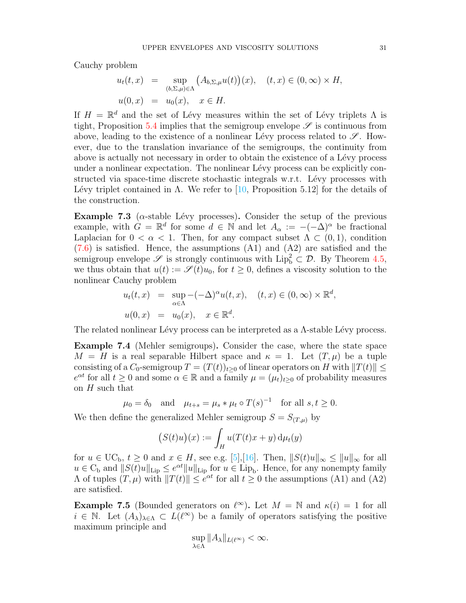Cauchy problem

$$
u_t(t, x) = \sup_{(b, \Sigma, \mu) \in \Lambda} (A_{b, \Sigma, \mu} u(t))(x), \quad (t, x) \in (0, \infty) \times H,
$$
  

$$
u(0, x) = u_0(x), \quad x \in H.
$$

If  $H = \mathbb{R}^d$  and the set of Lévy measures within the set of Lévy triplets  $\Lambda$  is tight, Proposition [5.4](#page-19-0) implies that the semigroup envelope  $\mathscr S$  is continuous from above, leading to the existence of a nonlinear Lévy process related to  $\mathscr{S}$ . However, due to the translation invariance of the semigroups, the continuity from above is actually not necessary in order to obtain the existence of a Lévy process under a nonlinear expectation. The nonlinear Lévy process can be explicitly constructed via space-time discrete stochastic integrals w.r.t. Lévy processes with Lévy triplet contained in Λ. We refer to  $[10,$  Proposition 5.12] for the details of the construction.

**Example 7.3** ( $\alpha$ -stable Lévy processes). Consider the setup of the previous example, with  $G = \mathbb{R}^d$  for some  $d \in \mathbb{N}$  and let  $A_\alpha := -(-\Delta)^\alpha$  be fractional Laplacian for  $0 < \alpha < 1$ . Then, for any compact subset  $\Lambda \subset (0,1)$ , condition  $(7.6)$  is satisfied. Hence, the assumptions  $(A1)$  and  $(A2)$  are satisfied and the semigroup envelope  $\mathscr S$  is strongly continuous with  $\text{Lip}_b^2 \subset \mathcal D$ . By Theorem [4.5,](#page-17-0) we thus obtain that  $u(t) := \mathscr{S}(t)u_0$ , for  $t \geq 0$ , defines a viscosity solution to the nonlinear Cauchy problem

$$
u_t(t,x) = \sup_{\alpha \in \Lambda} -(-\Delta)^{\alpha} u(t,x), \quad (t,x) \in (0,\infty) \times \mathbb{R}^d,
$$
  

$$
u(0,x) = u_0(x), \quad x \in \mathbb{R}^d.
$$

The related nonlinear Lévy process can be interpreted as a  $\Lambda$ -stable Lévy process.

Example 7.4 (Mehler semigroups). Consider the case, where the state space  $M = H$  is a real separable Hilbert space and  $\kappa = 1$ . Let  $(T, \mu)$  be a tuple consisting of a  $C_0$ -semigroup  $T = (T(t))_{t>0}$  of linear operators on H with  $||T(t)|| \le$  $e^{\alpha t}$  for all  $t \geq 0$  and some  $\alpha \in \mathbb{R}$  and a family  $\mu = (\mu_t)_{t \geq 0}$  of probability measures on  $H$  such that

$$
\mu_0 = \delta_0
$$
 and  $\mu_{t+s} = \mu_s * \mu_t \circ T(s)^{-1}$  for all  $s, t \ge 0$ .

We then define the generalized Mehler semigroup  $S = S_{(T,\mu)}$  by

$$
(S(t)u)(x) := \int_H u(T(t)x + y) d\mu_t(y)
$$

for  $u \in \mathrm{UC}_b$ ,  $t \geq 0$  and  $x \in H$ , see e.g. [\[5\]](#page-31-10),[\[16\]](#page-32-20). Then,  $||S(t)u||_{\infty} \leq ||u||_{\infty}$  for all  $u \in C_b$  and  $||S(t)u||_{\text{Lip}} \leq e^{\alpha t}||u||_{\text{Lip}}$  for  $u \in \text{Lip}_b$ . Hence, for any nonempty family  $Λ$  of tuples  $(T, μ)$  with  $||T(t)|| ≤ e<sup>αt</sup>$  for all  $t ≥ 0$  the assumptions (A1) and (A2) are satisfied.

**Example 7.5** (Bounded generators on  $\ell^{\infty}$ ). Let  $M = \mathbb{N}$  and  $\kappa(i) = 1$  for all  $i \in \mathbb{N}$ . Let  $(A_{\lambda})_{\lambda \in \Lambda} \subset L(\ell^{\infty})$  be a family of operators satisfying the positive maximum principle and

$$
\sup_{\lambda \in \Lambda} \|A_{\lambda}\|_{L(\ell^{\infty})} < \infty.
$$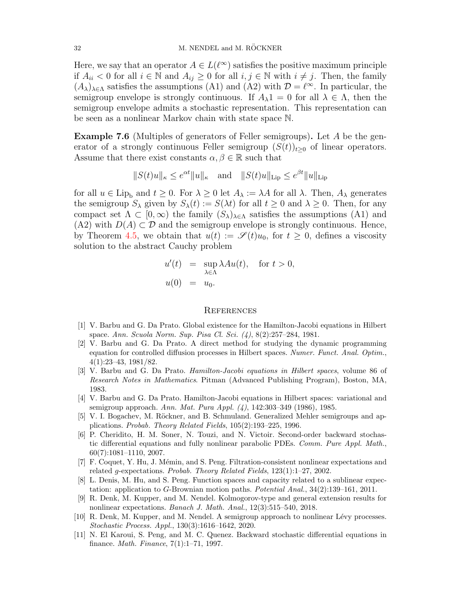Here, we say that an operator  $A \in L(\ell^{\infty})$  satisfies the positive maximum principle if  $A_{ii}$  < 0 for all  $i \in \mathbb{N}$  and  $A_{ij} \ge 0$  for all  $i, j \in \mathbb{N}$  with  $i \ne j$ . Then, the family  $(A_{\lambda})_{\lambda \in \Lambda}$  satisfies the assumptions (A1) and (A2) with  $\mathcal{D} = \ell^{\infty}$ . In particular, the semigroup envelope is strongly continuous. If  $A_{\lambda}1 = 0$  for all  $\lambda \in \Lambda$ , then the semigroup envelope admits a stochastic representation. This representation can be seen as a nonlinear Markov chain with state space N.

Example 7.6 (Multiples of generators of Feller semigroups). Let A be the generator of a strongly continuous Feller semigroup  $(S(t))_{t\geq0}$  of linear operators. Assume that there exist constants  $\alpha, \beta \in \mathbb{R}$  such that

$$
||S(t)u||_{\kappa} \leq e^{\alpha t}||u||_{\kappa}
$$
 and  $||S(t)u||_{\text{Lip}} \leq e^{\beta t}||u||_{\text{Lip}}$ 

for all  $u \in \text{Lip}_{b}$  and  $t \geq 0$ . For  $\lambda \geq 0$  let  $A_{\lambda} := \lambda A$  for all  $\lambda$ . Then,  $A_{\lambda}$  generates the semigroup  $S_{\lambda}$  given by  $S_{\lambda}(t) := S(\lambda t)$  for all  $t \geq 0$  and  $\lambda \geq 0$ . Then, for any compact set  $\Lambda \subset [0,\infty)$  the family  $(S_{\lambda})_{\lambda \in \Lambda}$  satisfies the assumptions (A1) and  $(A2)$  with  $D(A) \subset \mathcal{D}$  and the semigroup envelope is strongly continuous. Hence, by Theorem [4.5,](#page-17-0) we obtain that  $u(t) := \mathscr{S}(t)u_0$ , for  $t \geq 0$ , defines a viscosity solution to the abstract Cauchy problem

$$
u'(t) = \sup_{\lambda \in \Lambda} \lambda A u(t), \quad \text{for } t > 0,
$$
  

$$
u(0) = u_0.
$$

#### **REFERENCES**

- <span id="page-31-6"></span>[1] V. Barbu and G. Da Prato. Global existence for the Hamilton-Jacobi equations in Hilbert space. Ann. Scuola Norm. Sup. Pisa Cl. Sci. (4), 8(2):257–284, 1981.
- <span id="page-31-7"></span>[2] V. Barbu and G. Da Prato. A direct method for studying the dynamic programming equation for controlled diffusion processes in Hilbert spaces. Numer. Funct. Anal. Optim., 4(1):23–43, 1981/82.
- <span id="page-31-8"></span>[3] V. Barbu and G. Da Prato. Hamilton-Jacobi equations in Hilbert spaces, volume 86 of Research Notes in Mathematics. Pitman (Advanced Publishing Program), Boston, MA, 1983.
- <span id="page-31-9"></span>[4] V. Barbu and G. Da Prato. Hamilton-Jacobi equations in Hilbert spaces: variational and semigroup approach. Ann. Mat. Pura Appl. (4), 142:303–349 (1986), 1985.
- <span id="page-31-10"></span>[5] V. I. Bogachev, M. Röckner, and B. Schmuland. Generalized Mehler semigroups and applications. Probab. Theory Related Fields, 105(2):193–225, 1996.
- <span id="page-31-5"></span>[6] P. Cheridito, H. M. Soner, N. Touzi, and N. Victoir. Second-order backward stochastic differential equations and fully nonlinear parabolic PDEs. Comm. Pure Appl. Math., 60(7):1081–1110, 2007.
- <span id="page-31-0"></span>[7] F. Coquet, Y. Hu, J. M´emin, and S. Peng. Filtration-consistent nonlinear expectations and related g-expectations. Probab. Theory Related Fields, 123(1):1–27, 2002.
- <span id="page-31-2"></span>[8] L. Denis, M. Hu, and S. Peng. Function spaces and capacity related to a sublinear expectation: application to G-Brownian motion paths. Potential Anal., 34(2):139–161, 2011.
- <span id="page-31-3"></span>[9] R. Denk, M. Kupper, and M. Nendel. Kolmogorov-type and general extension results for nonlinear expectations. Banach J. Math. Anal., 12(3):515–540, 2018.
- <span id="page-31-1"></span>[10] R. Denk, M. Kupper, and M. Nendel. A semigroup approach to nonlinear Lévy processes. Stochastic Process. Appl., 130(3):1616–1642, 2020.
- <span id="page-31-4"></span>[11] N. El Karoui, S. Peng, and M. C. Quenez. Backward stochastic differential equations in finance. Math. Finance, 7(1):1–71, 1997.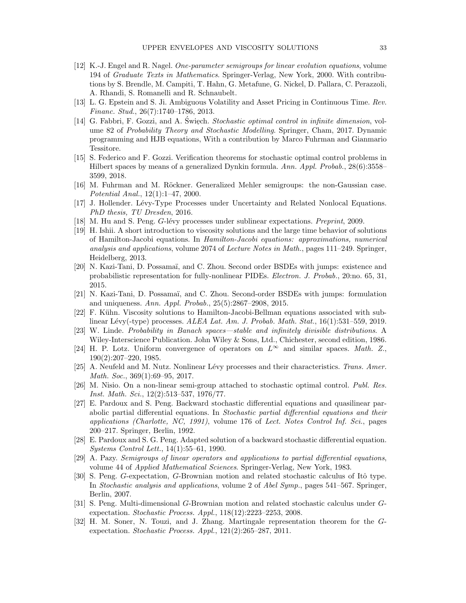- <span id="page-32-7"></span>[12] K.-J. Engel and R. Nagel. One-parameter semigroups for linear evolution equations, volume 194 of Graduate Texts in Mathematics. Springer-Verlag, New York, 2000. With contributions by S. Brendle, M. Campiti, T. Hahn, G. Metafune, G. Nickel, D. Pallara, C. Perazzoli, A. Rhandi, S. Romanelli and R. Schnaubelt.
- <span id="page-32-2"></span>[13] L. G. Epstein and S. Ji. Ambiguous Volatility and Asset Pricing in Continuous Time. Rev. Financ. Stud., 26(7):1740–1786, 2013.
- <span id="page-32-16"></span>[14] G. Fabbri, F. Gozzi, and A. Święch. Stochastic optimal control in infinite dimension, volume 82 of Probability Theory and Stochastic Modelling. Springer, Cham, 2017. Dynamic programming and HJB equations, With a contribution by Marco Fuhrman and Gianmario Tessitore.
- <span id="page-32-17"></span>[15] S. Federico and F. Gozzi. Verification theorems for stochastic optimal control problems in Hilbert spaces by means of a generalized Dynkin formula. Ann. Appl. Probab., 28(6):3558– 3599, 2018.
- <span id="page-32-20"></span>[16] M. Fuhrman and M. Röckner. Generalized Mehler semigroups: the non-Gaussian case. Potential Anal., 12(1):1–47, 2000.
- <span id="page-32-5"></span>[17] J. Hollender. Lévy-Type Processes under Uncertainty and Related Nonlocal Equations. PhD thesis, TU Dresden, 2016.
- <span id="page-32-3"></span>[18] M. Hu and S. Peng. G-lévy processes under sublinear expectations. Preprint, 2009.
- <span id="page-32-18"></span>[19] H. Ishii. A short introduction to viscosity solutions and the large time behavior of solutions of Hamilton-Jacobi equations. In Hamilton-Jacobi equations: approximations, numerical analysis and applications, volume 2074 of Lecture Notes in Math., pages  $111-249$ . Springer, Heidelberg, 2013.
- <span id="page-32-13"></span>[20] N. Kazi-Tani, D. Possamaï, and C. Zhou. Second order BSDEs with jumps: existence and probabilistic representation for fully-nonlinear PIDEs. Electron. J. Probab., 20:no. 65, 31, 2015.
- <span id="page-32-14"></span>[21] N. Kazi-Tani, D. Possamaï, and C. Zhou. Second-order BSDEs with jumps: formulation and uniqueness. Ann. Appl. Probab., 25(5):2867–2908, 2015.
- <span id="page-32-6"></span>[22] F. Kühn. Viscosity solutions to Hamilton-Jacobi-Bellman equations associated with sublinear Lévy(-type) processes.  $ALEA$  Lat. Am. J. Probab. Math. Stat.,  $16(1):531-559$ , 2019.
- <span id="page-32-19"></span>[23] W. Linde. Probability in Banach spaces—stable and infinitely divisible distributions. A Wiley-Interscience Publication. John Wiley & Sons, Ltd., Chichester, second edition, 1986.
- <span id="page-32-15"></span>[24] H. P. Lotz. Uniform convergence of operators on  $L^{\infty}$  and similar spaces. Math. Z., 190(2):207–220, 1985.
- <span id="page-32-4"></span>[25] A. Neufeld and M. Nutz. Nonlinear Lévy processes and their characteristics. Trans. Amer. Math. Soc., 369(1):69-95, 2017.
- <span id="page-32-9"></span>[26] M. Nisio. On a non-linear semi-group attached to stochastic optimal control. Publ. Res. Inst. Math. Sci., 12(2):513–537, 1976/77.
- <span id="page-32-10"></span>[27] E. Pardoux and S. Peng. Backward stochastic differential equations and quasilinear parabolic partial differential equations. In Stochastic partial differential equations and their applications (Charlotte, NC, 1991), volume 176 of Lect. Notes Control Inf. Sci., pages 200–217. Springer, Berlin, 1992.
- <span id="page-32-11"></span>[28] E. Pardoux and S. G. Peng. Adapted solution of a backward stochastic differential equation. Systems Control Lett., 14(1):55–61, 1990.
- <span id="page-32-8"></span>[29] A. Pazy. Semigroups of linear operators and applications to partial differential equations, volume 44 of Applied Mathematical Sciences. Springer-Verlag, New York, 1983.
- <span id="page-32-0"></span>[30] S. Peng. G-expectation, G-Brownian motion and related stochastic calculus of Itô type. In Stochastic analysis and applications, volume 2 of Abel Symp., pages 541–567. Springer, Berlin, 2007.
- <span id="page-32-1"></span>[31] S. Peng. Multi-dimensional G-Brownian motion and related stochastic calculus under Gexpectation. Stochastic Process. Appl., 118(12):2223–2253, 2008.
- <span id="page-32-12"></span>[32] H. M. Soner, N. Touzi, and J. Zhang. Martingale representation theorem for the Gexpectation. Stochastic Process. Appl., 121(2):265–287, 2011.